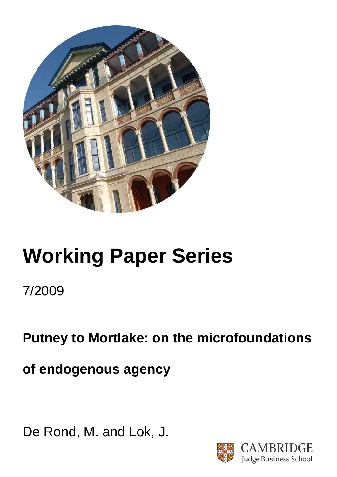

# **Working Paper Series**

7/2009

**Putney to Mortlake: on the microfoundations** 

**of endogenous agency** 

De Rond, M. and Lok, J.

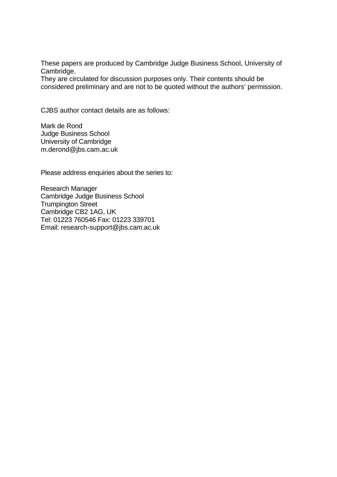These papers are produced by Cambridge Judge Business School, University of Cambridge.

They are circulated for discussion purposes only. Their contents should be considered preliminary and are not to be quoted without the authors' permission.

CJBS author contact details are as follows:

Mark de Rond Judge Business School University of Cambridge m.derond@jbs.cam.ac.uk

Please address enquiries about the series to:

Research Manager Cambridge Judge Business School Trumpington Street Cambridge CB2 1AG, UK Tel: 01223 760546 Fax: 01223 339701 Email: research-support@jbs.cam.ac.uk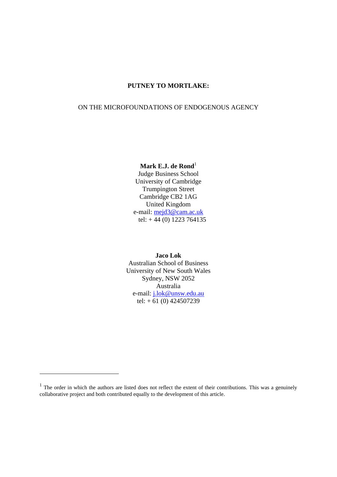## **PUTNEY TO MORTLAKE:**

#### ON THE MICROFOUNDATIONS OF ENDOGENOUS AGENCY

#### Mark E.J. de Rond<sup>1</sup>

Judge Business School University of Cambridge Trumpington Street Cambridge CB2 1AG United Kingdom e-mail: mejd3@cam.ac.uk tel: + 44 (0) 1223 764135

**Jaco Lok**  Australian School of Business University of New South Wales Sydney, NSW 2052 Australia e-mail: j.lok@unsw.edu.au tel:  $+ 61 (0) 424507239$ 

-

 $<sup>1</sup>$  The order in which the authors are listed does not reflect the extent of their contributions. This was a genuinely</sup> collaborative project and both contributed equally to the development of this article.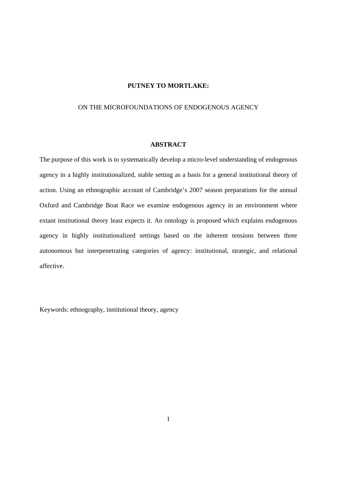#### **PUTNEY TO MORTLAKE:**

#### ON THE MICROFOUNDATIONS OF ENDOGENOUS AGENCY

#### **ABSTRACT**

The purpose of this work is to systematically develop a micro-level understanding of endogenous agency in a highly institutionalized, stable setting as a basis for a general institutional theory of action. Using an ethnographic account of Cambridge's 2007 season preparations for the annual Oxford and Cambridge Boat Race we examine endogenous agency in an environment where extant institutional theory least expects it. An ontology is proposed which explains endogenous agency in highly institutionalized settings based on the inherent tensions between three autonomous but interpenetrating categories of agency: institutional, strategic, and relational affective.

Keywords: ethnography, institutional theory, agency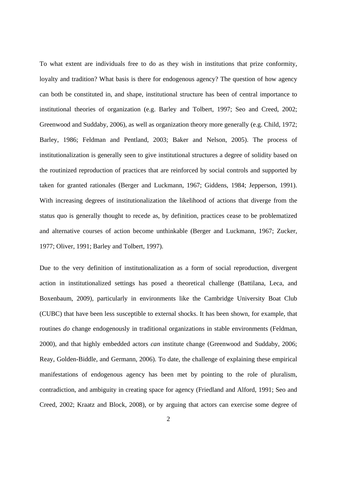To what extent are individuals free to do as they wish in institutions that prize conformity, loyalty and tradition? What basis is there for endogenous agency? The question of how agency can both be constituted in, and shape, institutional structure has been of central importance to institutional theories of organization (e.g. Barley and Tolbert, 1997; Seo and Creed, 2002; Greenwood and Suddaby, 2006), as well as organization theory more generally (e.g. Child, 1972; Barley, 1986; Feldman and Pentland, 2003; Baker and Nelson, 2005). The process of institutionalization is generally seen to give institutional structures a degree of solidity based on the routinized reproduction of practices that are reinforced by social controls and supported by taken for granted rationales (Berger and Luckmann, 1967; Giddens, 1984; Jepperson, 1991). With increasing degrees of institutionalization the likelihood of actions that diverge from the status quo is generally thought to recede as, by definition, practices cease to be problematized and alternative courses of action become unthinkable (Berger and Luckmann, 1967; Zucker, 1977; Oliver, 1991; Barley and Tolbert, 1997).

Due to the very definition of institutionalization as a form of social reproduction, divergent action in institutionalized settings has posed a theoretical challenge (Battilana, Leca, and Boxenbaum, 2009), particularly in environments like the Cambridge University Boat Club (CUBC) that have been less susceptible to external shocks. It has been shown, for example, that routines *do* change endogenously in traditional organizations in stable environments (Feldman, 2000), and that highly embedded actors *can* institute change (Greenwood and Suddaby, 2006; Reay, Golden-Biddle, and Germann, 2006). To date, the challenge of explaining these empirical manifestations of endogenous agency has been met by pointing to the role of pluralism, contradiction, and ambiguity in creating space for agency (Friedland and Alford, 1991; Seo and Creed, 2002; Kraatz and Block, 2008), or by arguing that actors can exercise some degree of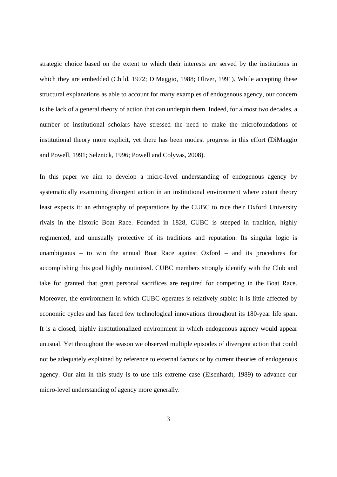strategic choice based on the extent to which their interests are served by the institutions in which they are embedded (Child, 1972; DiMaggio, 1988; Oliver, 1991). While accepting these structural explanations as able to account for many examples of endogenous agency, our concern is the lack of a general theory of action that can underpin them. Indeed, for almost two decades, a number of institutional scholars have stressed the need to make the microfoundations of institutional theory more explicit, yet there has been modest progress in this effort (DiMaggio and Powell, 1991; Selznick, 1996; Powell and Colyvas, 2008).

In this paper we aim to develop a micro-level understanding of endogenous agency by systematically examining divergent action in an institutional environment where extant theory least expects it: an ethnography of preparations by the CUBC to race their Oxford University rivals in the historic Boat Race. Founded in 1828, CUBC is steeped in tradition, highly regimented, and unusually protective of its traditions and reputation. Its singular logic is unambiguous – to win the annual Boat Race against Oxford – and its procedures for accomplishing this goal highly routinized. CUBC members strongly identify with the Club and take for granted that great personal sacrifices are required for competing in the Boat Race. Moreover, the environment in which CUBC operates is relatively stable: it is little affected by economic cycles and has faced few technological innovations throughout its 180-year life span. It is a closed, highly institutionalized environment in which endogenous agency would appear unusual. Yet throughout the season we observed multiple episodes of divergent action that could not be adequately explained by reference to external factors or by current theories of endogenous agency. Our aim in this study is to use this extreme case (Eisenhardt, 1989) to advance our micro-level understanding of agency more generally.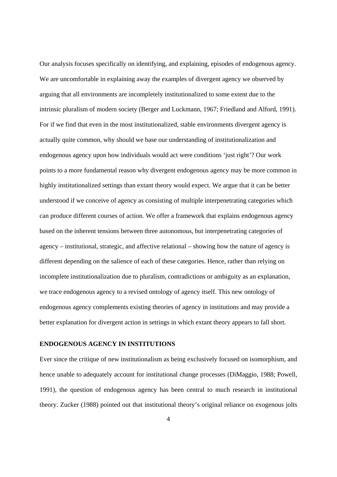Our analysis focuses specifically on identifying, and explaining, episodes of endogenous agency. We are uncomfortable in explaining away the examples of divergent agency we observed by arguing that all environments are incompletely institutionalized to some extent due to the intrinsic pluralism of modern society (Berger and Luckmann, 1967; Friedland and Alford, 1991). For if we find that even in the most institutionalized, stable environments divergent agency is actually quite common, why should we base our understanding of institutionalization and endogenous agency upon how individuals would act were conditions 'just right'? Our work points to a more fundamental reason why divergent endogenous agency may be more common in highly institutionalized settings than extant theory would expect. We argue that it can be better understood if we conceive of agency as consisting of multiple interpenetrating categories which can produce different courses of action. We offer a framework that explains endogenous agency based on the inherent tensions between three autonomous, but interpenetrating categories of agency – institutional, strategic, and affective relational – showing how the nature of agency is different depending on the salience of each of these categories. Hence, rather than relying on incomplete institutionalization due to pluralism, contradictions or ambiguity as an explanation, we trace endogenous agency to a revised ontology of agency itself. This new ontology of endogenous agency complements existing theories of agency in institutions and may provide a better explanation for divergent action in settings in which extant theory appears to fall short.

#### **ENDOGENOUS AGENCY IN INSTITUTIONS**

Ever since the critique of new institutionalism as being exclusively focused on isomorphism, and hence unable to adequately account for institutional change processes (DiMaggio, 1988; Powell, 1991), the question of endogenous agency has been central to much research in institutional theory. Zucker (1988) pointed out that institutional theory's original reliance on exogenous jolts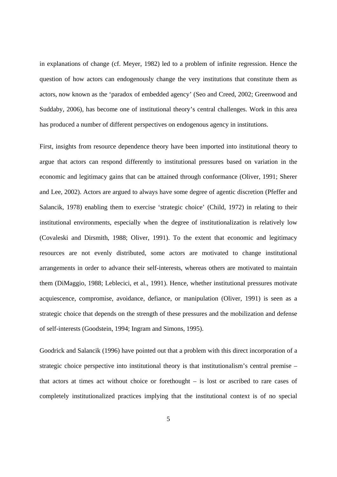in explanations of change (cf. Meyer, 1982) led to a problem of infinite regression. Hence the question of how actors can endogenously change the very institutions that constitute them as actors, now known as the 'paradox of embedded agency' (Seo and Creed, 2002; Greenwood and Suddaby, 2006), has become one of institutional theory's central challenges. Work in this area has produced a number of different perspectives on endogenous agency in institutions.

First, insights from resource dependence theory have been imported into institutional theory to argue that actors can respond differently to institutional pressures based on variation in the economic and legitimacy gains that can be attained through conformance (Oliver, 1991; Sherer and Lee, 2002). Actors are argued to always have some degree of agentic discretion (Pfeffer and Salancik, 1978) enabling them to exercise 'strategic choice' (Child, 1972) in relating to their institutional environments, especially when the degree of institutionalization is relatively low (Covaleski and Dirsmith, 1988; Oliver, 1991). To the extent that economic and legitimacy resources are not evenly distributed, some actors are motivated to change institutional arrangements in order to advance their self-interests, whereas others are motivated to maintain them (DiMaggio, 1988; Leblecici, et al., 1991). Hence, whether institutional pressures motivate acquiescence, compromise, avoidance, defiance, or manipulation (Oliver, 1991) is seen as a strategic choice that depends on the strength of these pressures and the mobilization and defense of self-interests (Goodstein, 1994; Ingram and Simons, 1995).

Goodrick and Salancik (1996) have pointed out that a problem with this direct incorporation of a strategic choice perspective into institutional theory is that institutionalism's central premise – that actors at times act without choice or forethought – is lost or ascribed to rare cases of completely institutionalized practices implying that the institutional context is of no special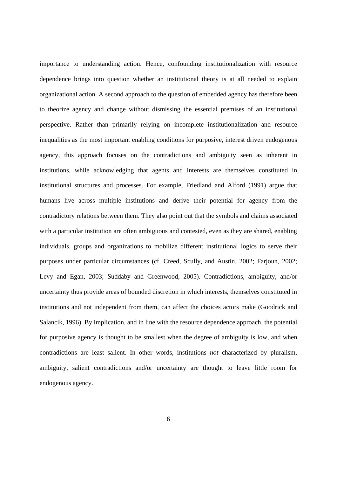importance to understanding action. Hence, confounding institutionalization with resource dependence brings into question whether an institutional theory is at all needed to explain organizational action. A second approach to the question of embedded agency has therefore been to theorize agency and change without dismissing the essential premises of an institutional perspective. Rather than primarily relying on incomplete institutionalization and resource inequalities as the most important enabling conditions for purposive, interest driven endogenous agency, this approach focuses on the contradictions and ambiguity seen as inherent in institutions, while acknowledging that agents and interests are themselves constituted in institutional structures and processes. For example, Friedland and Alford (1991) argue that humans live across multiple institutions and derive their potential for agency from the contradictory relations between them. They also point out that the symbols and claims associated with a particular institution are often ambiguous and contested, even as they are shared, enabling individuals, groups and organizations to mobilize different institutional logics to serve their purposes under particular circumstances (cf. Creed, Scully, and Austin, 2002; Farjoun, 2002; Levy and Egan, 2003; Suddaby and Greenwood, 2005). Contradictions, ambiguity, and/or uncertainty thus provide areas of bounded discretion in which interests, themselves constituted in institutions and not independent from them, can affect the choices actors make (Goodrick and Salancik, 1996). By implication, and in line with the resource dependence approach, the potential for purposive agency is thought to be smallest when the degree of ambiguity is low, and when contradictions are least salient. In other words, institutions *not* characterized by pluralism, ambiguity, salient contradictions and/or uncertainty are thought to leave little room for endogenous agency.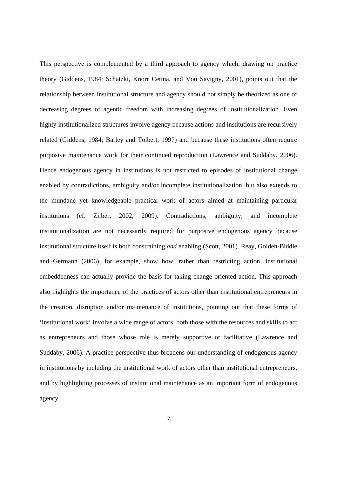This perspective is complemented by a third approach to agency which, drawing on practice theory (Giddens, 1984; Schatzki, Knorr Cetina, and Von Savigny, 2001), points out that the relationship between institutional structure and agency should not simply be theorized as one of decreasing degrees of agentic freedom with increasing degrees of institutionalization. Even highly institutionalized structures involve agency because actions and institutions are recursively related (Giddens, 1984; Barley and Tolbert, 1997) and because these institutions often require purposive maintenance work for their continued reproduction (Lawrence and Suddaby, 2006). Hence endogenous agency in institutions is not restricted to episodes of institutional change enabled by contradictions, ambiguity and/or incomplete institutionalization, but also extends to the mundane yet knowledgeable practical work of actors aimed at maintaining particular institutions (cf. Zilber, 2002, 2009). Contradictions, ambiguity, and incomplete institutionalization are not necessarily required for purposive endogenous agency because institutional structure itself is both constraining *and* enabling (Scott, 2001). Reay, Golden-Biddle and Germann (2006), for example, show how, rather than restricting action, institutional embeddedness can actually provide the basis for taking change oriented action. This approach also highlights the importance of the practices of actors other than institutional entrepreneurs in the creation, disruption and/or maintenance of institutions, pointing out that these forms of 'institutional work' involve a wide range of actors, both those with the resources and skills to act as entrepreneurs and those whose role is merely supportive or facilitative (Lawrence and Suddaby, 2006). A practice perspective thus broadens our understanding of endogenous agency in institutions by including the institutional work of actors other than institutional entrepreneurs, and by highlighting processes of institutional maintenance as an important form of endogenous agency.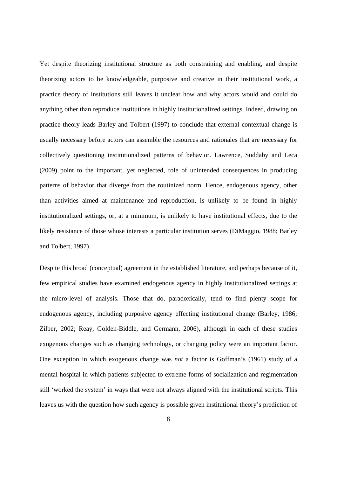Yet despite theorizing institutional structure as both constraining and enabling, and despite theorizing actors to be knowledgeable, purposive and creative in their institutional work, a practice theory of institutions still leaves it unclear how and why actors would and could do anything other than reproduce institutions in highly institutionalized settings. Indeed, drawing on practice theory leads Barley and Tolbert (1997) to conclude that external contextual change is usually necessary before actors can assemble the resources and rationales that are necessary for collectively questioning institutionalized patterns of behavior. Lawrence, Suddaby and Leca (2009) point to the important, yet neglected, role of unintended consequences in producing patterns of behavior that diverge from the routinized norm. Hence, endogenous agency, other than activities aimed at maintenance and reproduction, is unlikely to be found in highly institutionalized settings, or, at a minimum, is unlikely to have institutional effects, due to the likely resistance of those whose interests a particular institution serves (DiMaggio, 1988; Barley and Tolbert, 1997).

Despite this broad (conceptual) agreement in the established literature, and perhaps because of it, few empirical studies have examined endogenous agency in highly institutionalized settings at the micro-level of analysis. Those that do, paradoxically, tend to find plenty scope for endogenous agency, including purposive agency effecting institutional change (Barley, 1986; Zilber, 2002; Reay, Golden-Biddle, and Germann, 2006), although in each of these studies exogenous changes such as changing technology, or changing policy were an important factor. One exception in which exogenous change was *not* a factor is Goffman's (1961) study of a mental hospital in which patients subjected to extreme forms of socialization and regimentation still 'worked the system' in ways that were not always aligned with the institutional scripts. This leaves us with the question how such agency is possible given institutional theory's prediction of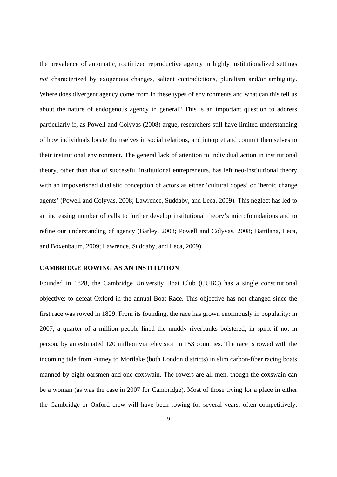the prevalence of automatic, routinized reproductive agency in highly institutionalized settings *not* characterized by exogenous changes, salient contradictions, pluralism and/or ambiguity. Where does divergent agency come from in these types of environments and what can this tell us about the nature of endogenous agency in general? This is an important question to address particularly if, as Powell and Colyvas (2008) argue, researchers still have limited understanding of how individuals locate themselves in social relations, and interpret and commit themselves to their institutional environment. The general lack of attention to individual action in institutional theory, other than that of successful institutional entrepreneurs, has left neo-institutional theory with an impoverished dualistic conception of actors as either 'cultural dopes' or 'heroic change agents' (Powell and Colyvas, 2008; Lawrence, Suddaby, and Leca, 2009). This neglect has led to an increasing number of calls to further develop institutional theory's microfoundations and to refine our understanding of agency (Barley, 2008; Powell and Colyvas, 2008; Battilana, Leca, and Boxenbaum, 2009; Lawrence, Suddaby, and Leca, 2009).

#### **CAMBRIDGE ROWING AS AN INSTITUTION**

Founded in 1828, the Cambridge University Boat Club (CUBC) has a single constitutional objective: to defeat Oxford in the annual Boat Race. This objective has not changed since the first race was rowed in 1829. From its founding, the race has grown enormously in popularity: in 2007, a quarter of a million people lined the muddy riverbanks bolstered, in spirit if not in person, by an estimated 120 million via television in 153 countries. The race is rowed with the incoming tide from Putney to Mortlake (both London districts) in slim carbon-fiber racing boats manned by eight oarsmen and one coxswain. The rowers are all men, though the coxswain can be a woman (as was the case in 2007 for Cambridge). Most of those trying for a place in either the Cambridge or Oxford crew will have been rowing for several years, often competitively.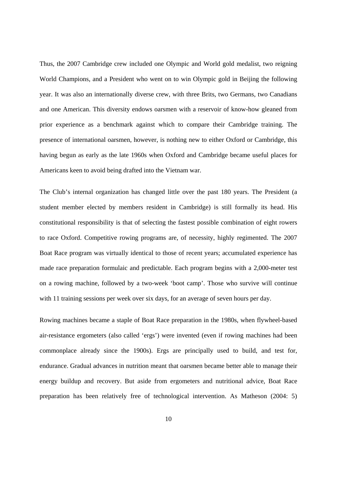Thus, the 2007 Cambridge crew included one Olympic and World gold medalist, two reigning World Champions, and a President who went on to win Olympic gold in Beijing the following year. It was also an internationally diverse crew, with three Brits, two Germans, two Canadians and one American. This diversity endows oarsmen with a reservoir of know-how gleaned from prior experience as a benchmark against which to compare their Cambridge training. The presence of international oarsmen, however, is nothing new to either Oxford or Cambridge, this having begun as early as the late 1960s when Oxford and Cambridge became useful places for Americans keen to avoid being drafted into the Vietnam war.

The Club's internal organization has changed little over the past 180 years. The President (a student member elected by members resident in Cambridge) is still formally its head. His constitutional responsibility is that of selecting the fastest possible combination of eight rowers to race Oxford. Competitive rowing programs are, of necessity, highly regimented. The 2007 Boat Race program was virtually identical to those of recent years; accumulated experience has made race preparation formulaic and predictable. Each program begins with a 2,000-meter test on a rowing machine, followed by a two-week 'boot camp'. Those who survive will continue with 11 training sessions per week over six days, for an average of seven hours per day.

Rowing machines became a staple of Boat Race preparation in the 1980s, when flywheel-based air-resistance ergometers (also called 'ergs') were invented (even if rowing machines had been commonplace already since the 1900s). Ergs are principally used to build, and test for, endurance. Gradual advances in nutrition meant that oarsmen became better able to manage their energy buildup and recovery. But aside from ergometers and nutritional advice, Boat Race preparation has been relatively free of technological intervention. As Matheson (2004: 5)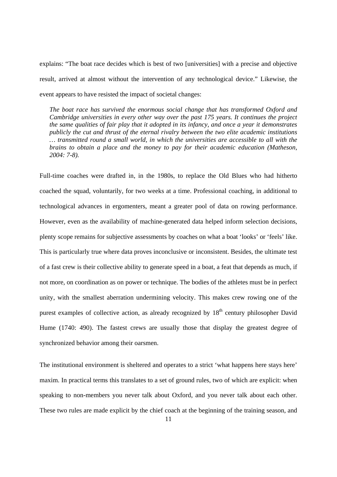explains: "The boat race decides which is best of two [universities] with a precise and objective result, arrived at almost without the intervention of any technological device." Likewise, the event appears to have resisted the impact of societal changes:

*The boat race has survived the enormous social change that has transformed Oxford and Cambridge universities in every other way over the past 175 years. It continues the project the same qualities of fair play that it adopted in its infancy, and once a year it demonstrates publicly the cut and thrust of the eternal rivalry between the two elite academic institutions … transmitted round a small world, in which the universities are accessible to all with the brains to obtain a place and the money to pay for their academic education (Matheson, 2004: 7-8).* 

Full-time coaches were drafted in, in the 1980s, to replace the Old Blues who had hitherto coached the squad, voluntarily, for two weeks at a time. Professional coaching, in additional to technological advances in ergomenters, meant a greater pool of data on rowing performance. However, even as the availability of machine-generated data helped inform selection decisions, plenty scope remains for subjective assessments by coaches on what a boat 'looks' or 'feels' like. This is particularly true where data proves inconclusive or inconsistent. Besides, the ultimate test of a fast crew is their collective ability to generate speed in a boat, a feat that depends as much, if not more, on coordination as on power or technique. The bodies of the athletes must be in perfect unity, with the smallest aberration undermining velocity. This makes crew rowing one of the purest examples of collective action, as already recognized by  $18<sup>th</sup>$  century philosopher David Hume (1740: 490). The fastest crews are usually those that display the greatest degree of synchronized behavior among their oarsmen.

The institutional environment is sheltered and operates to a strict 'what happens here stays here' maxim. In practical terms this translates to a set of ground rules, two of which are explicit: when speaking to non-members you never talk about Oxford, and you never talk about each other. These two rules are made explicit by the chief coach at the beginning of the training season, and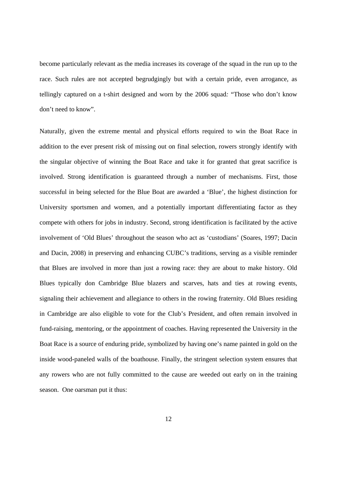become particularly relevant as the media increases its coverage of the squad in the run up to the race. Such rules are not accepted begrudgingly but with a certain pride, even arrogance, as tellingly captured on a t-shirt designed and worn by the 2006 squad*:* "Those who don't know don't need to know".

Naturally, given the extreme mental and physical efforts required to win the Boat Race in addition to the ever present risk of missing out on final selection, rowers strongly identify with the singular objective of winning the Boat Race and take it for granted that great sacrifice is involved. Strong identification is guaranteed through a number of mechanisms. First, those successful in being selected for the Blue Boat are awarded a 'Blue', the highest distinction for University sportsmen and women, and a potentially important differentiating factor as they compete with others for jobs in industry. Second, strong identification is facilitated by the active involvement of 'Old Blues' throughout the season who act as 'custodians' (Soares, 1997; Dacin and Dacin, 2008) in preserving and enhancing CUBC's traditions, serving as a visible reminder that Blues are involved in more than just a rowing race: they are about to make history. Old Blues typically don Cambridge Blue blazers and scarves, hats and ties at rowing events, signaling their achievement and allegiance to others in the rowing fraternity. Old Blues residing in Cambridge are also eligible to vote for the Club's President, and often remain involved in fund-raising, mentoring, or the appointment of coaches. Having represented the University in the Boat Race is a source of enduring pride, symbolized by having one's name painted in gold on the inside wood-paneled walls of the boathouse. Finally, the stringent selection system ensures that any rowers who are not fully committed to the cause are weeded out early on in the training season. One oarsman put it thus: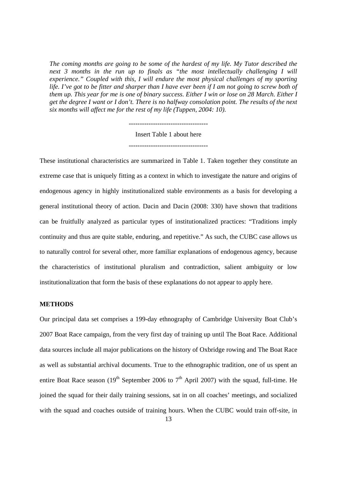*The coming months are going to be some of the hardest of my life. My Tutor described the next 3 months in the run up to finals as "the most intellectually challenging I will experience." Coupled with this, I will endure the most physical challenges of my sporting life. I've got to be fitter and sharper than I have ever been if I am not going to screw both of them up. This year for me is one of binary success. Either I win or lose on 28 March. Either I get the degree I want or I don't. There is no halfway consolation point. The results of the next six months will affect me for the rest of my life (Tuppen, 2004: 10).* 

> ------------------------------------ Insert Table 1 about here ------------------------------------

These institutional characteristics are summarized in Table 1. Taken together they constitute an extreme case that is uniquely fitting as a context in which to investigate the nature and origins of endogenous agency in highly institutionalized stable environments as a basis for developing a general institutional theory of action. Dacin and Dacin (2008: 330) have shown that traditions can be fruitfully analyzed as particular types of institutionalized practices: "Traditions imply continuity and thus are quite stable, enduring, and repetitive." As such, the CUBC case allows us to naturally control for several other, more familiar explanations of endogenous agency, because the characteristics of institutional pluralism and contradiction, salient ambiguity or low institutionalization that form the basis of these explanations do not appear to apply here.

#### **METHODS**

Our principal data set comprises a 199-day ethnography of Cambridge University Boat Club's 2007 Boat Race campaign, from the very first day of training up until The Boat Race. Additional data sources include all major publications on the history of Oxbridge rowing and The Boat Race as well as substantial archival documents. True to the ethnographic tradition, one of us spent an entire Boat Race season (19<sup>th</sup> September 2006 to  $7<sup>th</sup>$  April 2007) with the squad, full-time. He joined the squad for their daily training sessions, sat in on all coaches' meetings, and socialized with the squad and coaches outside of training hours. When the CUBC would train off-site, in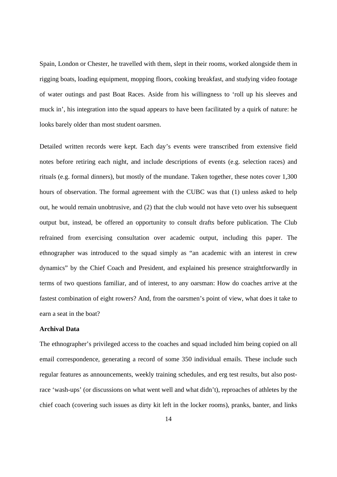Spain, London or Chester, he travelled with them, slept in their rooms, worked alongside them in rigging boats, loading equipment, mopping floors, cooking breakfast, and studying video footage of water outings and past Boat Races. Aside from his willingness to 'roll up his sleeves and muck in', his integration into the squad appears to have been facilitated by a quirk of nature: he looks barely older than most student oarsmen.

Detailed written records were kept. Each day's events were transcribed from extensive field notes before retiring each night, and include descriptions of events (e.g. selection races) and rituals (e.g. formal dinners), but mostly of the mundane. Taken together, these notes cover 1,300 hours of observation. The formal agreement with the CUBC was that (1) unless asked to help out, he would remain unobtrusive, and (2) that the club would not have veto over his subsequent output but, instead, be offered an opportunity to consult drafts before publication. The Club refrained from exercising consultation over academic output, including this paper. The ethnographer was introduced to the squad simply as "an academic with an interest in crew dynamics" by the Chief Coach and President, and explained his presence straightforwardly in terms of two questions familiar, and of interest, to any oarsman: How do coaches arrive at the fastest combination of eight rowers? And, from the oarsmen's point of view, what does it take to earn a seat in the boat?

#### **Archival Data**

The ethnographer's privileged access to the coaches and squad included him being copied on all email correspondence, generating a record of some 350 individual emails. These include such regular features as announcements, weekly training schedules, and erg test results, but also postrace 'wash-ups' (or discussions on what went well and what didn't), reproaches of athletes by the chief coach (covering such issues as dirty kit left in the locker rooms), pranks, banter, and links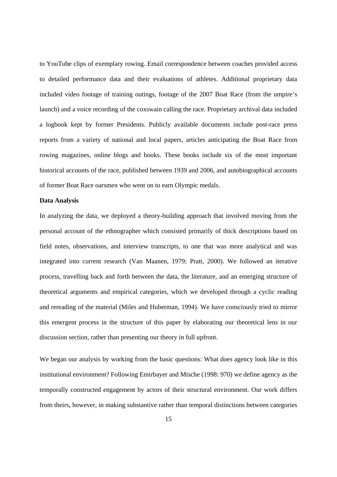to YouTube clips of exemplary rowing. Email correspondence between coaches provided access to detailed performance data and their evaluations of athletes. Additional proprietary data included video footage of training outings, footage of the 2007 Boat Race (from the umpire's launch) and a voice recording of the coxswain calling the race. Proprietary archival data included a logbook kept by former Presidents. Publicly available documents include post-race press reports from a variety of national and local papers, articles anticipating the Boat Race from rowing magazines, online blogs and books. These books include six of the most important historical accounts of the race, published between 1939 and 2006, and autobiographical accounts of former Boat Race oarsmen who went on to earn Olympic medals.

#### **Data Analysis**

In analyzing the data, we deployed a theory-building approach that involved moving from the personal account of the ethnographer which consisted primarily of thick descriptions based on field notes, observations, and interview transcripts, to one that was more analytical and was integrated into current research (Van Maanen, 1979; Pratt, 2000). We followed an iterative process, travelling back and forth between the data, the literature, and an emerging structure of theoretical arguments and empirical categories, which we developed through a cyclic reading and rereading of the material (Miles and Huberman, 1994). We have consciously tried to mirror this emergent process in the structure of this paper by elaborating our theoretical lens in our discussion section, rather than presenting our theory in full upfront.

We began our analysis by working from the basic questions: What does agency look like in this institutional environment? Following Emirbayer and Mische (1998: 970) we define agency as the temporally constructed engagement by actors of their structural environment. Our work differs from theirs, however, in making substantive rather than temporal distinctions between categories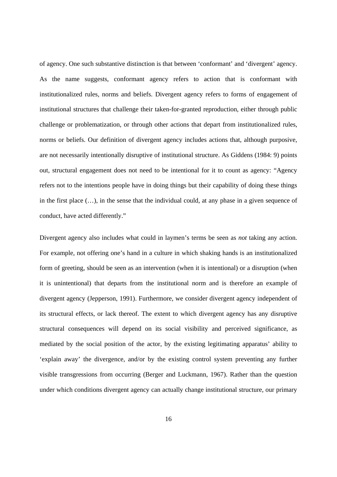of agency. One such substantive distinction is that between 'conformant' and 'divergent' agency. As the name suggests, conformant agency refers to action that is conformant with institutionalized rules, norms and beliefs. Divergent agency refers to forms of engagement of institutional structures that challenge their taken-for-granted reproduction, either through public challenge or problematization, or through other actions that depart from institutionalized rules, norms or beliefs. Our definition of divergent agency includes actions that, although purposive, are not necessarily intentionally disruptive of institutional structure. As Giddens (1984: 9) points out, structural engagement does not need to be intentional for it to count as agency: "Agency refers not to the intentions people have in doing things but their capability of doing these things in the first place  $(...)$ , in the sense that the individual could, at any phase in a given sequence of conduct, have acted differently."

Divergent agency also includes what could in laymen's terms be seen as *not* taking any action. For example, not offering one's hand in a culture in which shaking hands is an institutionalized form of greeting, should be seen as an intervention (when it is intentional) or a disruption (when it is unintentional) that departs from the institutional norm and is therefore an example of divergent agency (Jepperson, 1991). Furthermore, we consider divergent agency independent of its structural effects, or lack thereof. The extent to which divergent agency has any disruptive structural consequences will depend on its social visibility and perceived significance, as mediated by the social position of the actor, by the existing legitimating apparatus' ability to 'explain away' the divergence, and/or by the existing control system preventing any further visible transgressions from occurring (Berger and Luckmann, 1967). Rather than the question under which conditions divergent agency can actually change institutional structure, our primary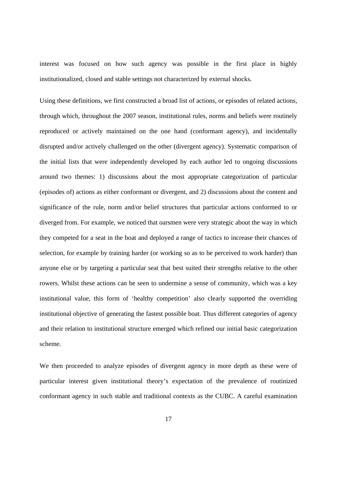interest was focused on how such agency was possible in the first place in highly institutionalized, closed and stable settings not characterized by external shocks.

Using these definitions, we first constructed a broad list of actions, or episodes of related actions, through which, throughout the 2007 season, institutional rules, norms and beliefs were routinely reproduced or actively maintained on the one hand (conformant agency), and incidentally disrupted and/or actively challenged on the other (divergent agency). Systematic comparison of the initial lists that were independently developed by each author led to ongoing discussions around two themes: 1) discussions about the most appropriate categorization of particular (episodes of) actions as either conformant or divergent, and 2) discussions about the content and significance of the rule, norm and/or belief structures that particular actions conformed to or diverged from. For example, we noticed that oarsmen were very strategic about the way in which they competed for a seat in the boat and deployed a range of tactics to increase their chances of selection, for example by training harder (or working so as to be perceived to work harder) than anyone else or by targeting a particular seat that best suited their strengths relative to the other rowers. Whilst these actions can be seen to undermine a sense of community, which was a key institutional value, this form of 'healthy competition' also clearly supported the overriding institutional objective of generating the fastest possible boat. Thus different categories of agency and their relation to institutional structure emerged which refined our initial basic categorization scheme.

We then proceeded to analyze episodes of divergent agency in more depth as these were of particular interest given institutional theory's expectation of the prevalence of routinized conformant agency in such stable and traditional contexts as the CUBC. A careful examination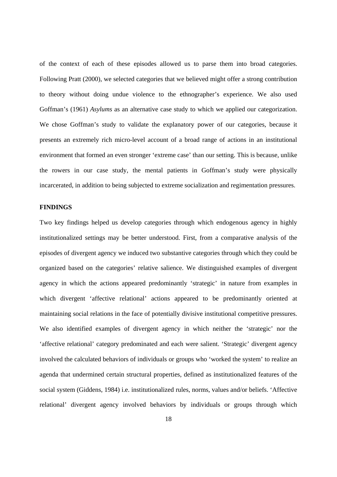of the context of each of these episodes allowed us to parse them into broad categories. Following Pratt (2000), we selected categories that we believed might offer a strong contribution to theory without doing undue violence to the ethnographer's experience. We also used Goffman's (1961) *Asylums* as an alternative case study to which we applied our categorization. We chose Goffman's study to validate the explanatory power of our categories, because it presents an extremely rich micro-level account of a broad range of actions in an institutional environment that formed an even stronger 'extreme case' than our setting. This is because, unlike the rowers in our case study, the mental patients in Goffman's study were physically incarcerated, in addition to being subjected to extreme socialization and regimentation pressures.

#### **FINDINGS**

Two key findings helped us develop categories through which endogenous agency in highly institutionalized settings may be better understood. First, from a comparative analysis of the episodes of divergent agency we induced two substantive categories through which they could be organized based on the categories' relative salience. We distinguished examples of divergent agency in which the actions appeared predominantly 'strategic' in nature from examples in which divergent 'affective relational' actions appeared to be predominantly oriented at maintaining social relations in the face of potentially divisive institutional competitive pressures. We also identified examples of divergent agency in which neither the 'strategic' nor the 'affective relational' category predominated and each were salient. 'Strategic' divergent agency involved the calculated behaviors of individuals or groups who 'worked the system' to realize an agenda that undermined certain structural properties, defined as institutionalized features of the social system (Giddens, 1984) i.e. institutionalized rules, norms, values and/or beliefs. 'Affective relational' divergent agency involved behaviors by individuals or groups through which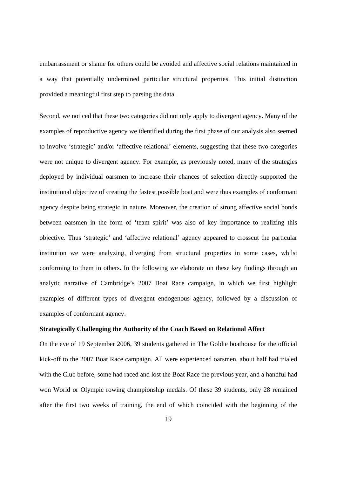embarrassment or shame for others could be avoided and affective social relations maintained in a way that potentially undermined particular structural properties. This initial distinction provided a meaningful first step to parsing the data.

Second, we noticed that these two categories did not only apply to divergent agency. Many of the examples of reproductive agency we identified during the first phase of our analysis also seemed to involve 'strategic' and/or 'affective relational' elements, suggesting that these two categories were not unique to divergent agency. For example, as previously noted, many of the strategies deployed by individual oarsmen to increase their chances of selection directly supported the institutional objective of creating the fastest possible boat and were thus examples of conformant agency despite being strategic in nature. Moreover, the creation of strong affective social bonds between oarsmen in the form of 'team spirit' was also of key importance to realizing this objective. Thus 'strategic' and 'affective relational' agency appeared to crosscut the particular institution we were analyzing, diverging from structural properties in some cases, whilst conforming to them in others. In the following we elaborate on these key findings through an analytic narrative of Cambridge's 2007 Boat Race campaign, in which we first highlight examples of different types of divergent endogenous agency, followed by a discussion of examples of conformant agency.

#### **Strategically Challenging the Authority of the Coach Based on Relational Affect**

On the eve of 19 September 2006, 39 students gathered in The Goldie boathouse for the official kick-off to the 2007 Boat Race campaign. All were experienced oarsmen, about half had trialed with the Club before, some had raced and lost the Boat Race the previous year, and a handful had won World or Olympic rowing championship medals. Of these 39 students, only 28 remained after the first two weeks of training, the end of which coincided with the beginning of the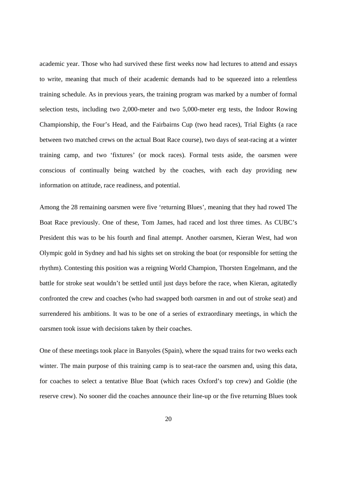academic year. Those who had survived these first weeks now had lectures to attend and essays to write, meaning that much of their academic demands had to be squeezed into a relentless training schedule. As in previous years, the training program was marked by a number of formal selection tests, including two 2,000-meter and two 5,000-meter erg tests, the Indoor Rowing Championship, the Four's Head, and the Fairbairns Cup (two head races), Trial Eights (a race between two matched crews on the actual Boat Race course), two days of seat-racing at a winter training camp, and two 'fixtures' (or mock races). Formal tests aside, the oarsmen were conscious of continually being watched by the coaches, with each day providing new information on attitude, race readiness, and potential.

Among the 28 remaining oarsmen were five 'returning Blues', meaning that they had rowed The Boat Race previously. One of these, Tom James, had raced and lost three times. As CUBC's President this was to be his fourth and final attempt. Another oarsmen, Kieran West, had won Olympic gold in Sydney and had his sights set on stroking the boat (or responsible for setting the rhythm). Contesting this position was a reigning World Champion, Thorsten Engelmann, and the battle for stroke seat wouldn't be settled until just days before the race, when Kieran, agitatedly confronted the crew and coaches (who had swapped both oarsmen in and out of stroke seat) and surrendered his ambitions. It was to be one of a series of extraordinary meetings, in which the oarsmen took issue with decisions taken by their coaches.

One of these meetings took place in Banyoles (Spain), where the squad trains for two weeks each winter. The main purpose of this training camp is to seat-race the oarsmen and, using this data, for coaches to select a tentative Blue Boat (which races Oxford's top crew) and Goldie (the reserve crew). No sooner did the coaches announce their line-up or the five returning Blues took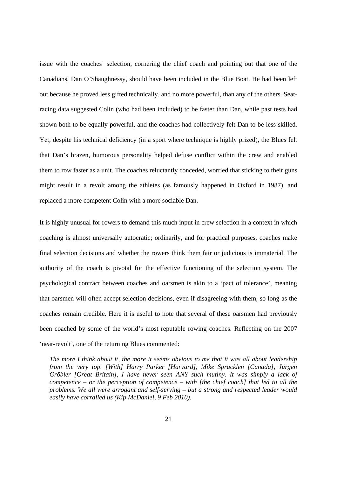issue with the coaches' selection, cornering the chief coach and pointing out that one of the Canadians, Dan O'Shaughnessy, should have been included in the Blue Boat. He had been left out because he proved less gifted technically, and no more powerful, than any of the others. Seatracing data suggested Colin (who had been included) to be faster than Dan, while past tests had shown both to be equally powerful, and the coaches had collectively felt Dan to be less skilled. Yet, despite his technical deficiency (in a sport where technique is highly prized), the Blues felt that Dan's brazen, humorous personality helped defuse conflict within the crew and enabled them to row faster as a unit. The coaches reluctantly conceded, worried that sticking to their guns might result in a revolt among the athletes (as famously happened in Oxford in 1987), and replaced a more competent Colin with a more sociable Dan.

It is highly unusual for rowers to demand this much input in crew selection in a context in which coaching is almost universally autocratic; ordinarily, and for practical purposes, coaches make final selection decisions and whether the rowers think them fair or judicious is immaterial. The authority of the coach is pivotal for the effective functioning of the selection system. The psychological contract between coaches and oarsmen is akin to a 'pact of tolerance', meaning that oarsmen will often accept selection decisions, even if disagreeing with them, so long as the coaches remain credible. Here it is useful to note that several of these oarsmen had previously been coached by some of the world's most reputable rowing coaches. Reflecting on the 2007 'near-revolt', one of the returning Blues commented:

*The more I think about it, the more it seems obvious to me that it was all about leadership from the very top. [With] Harry Parker [Harvard], Mike Spracklen [Canada], Jürgen Gröbler [Great Britain], I have never seen ANY such mutiny. It was simply a lack of competence – or the perception of competence – with [the chief coach] that led to all the problems. We all were arrogant and self-serving – but a strong and respected leader would easily have corralled us (Kip McDaniel, 9 Feb 2010).*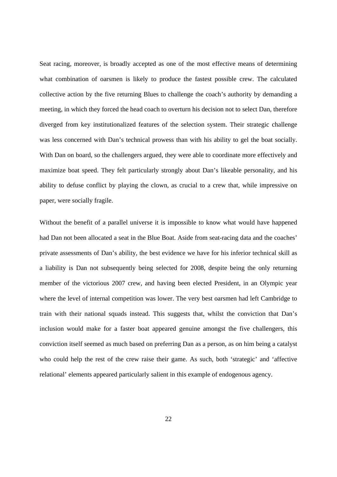Seat racing, moreover, is broadly accepted as one of the most effective means of determining what combination of oarsmen is likely to produce the fastest possible crew. The calculated collective action by the five returning Blues to challenge the coach's authority by demanding a meeting, in which they forced the head coach to overturn his decision not to select Dan, therefore diverged from key institutionalized features of the selection system. Their strategic challenge was less concerned with Dan's technical prowess than with his ability to gel the boat socially. With Dan on board, so the challengers argued, they were able to coordinate more effectively and maximize boat speed. They felt particularly strongly about Dan's likeable personality, and his ability to defuse conflict by playing the clown, as crucial to a crew that, while impressive on paper, were socially fragile.

Without the benefit of a parallel universe it is impossible to know what would have happened had Dan not been allocated a seat in the Blue Boat. Aside from seat-racing data and the coaches' private assessments of Dan's ability, the best evidence we have for his inferior technical skill as a liability is Dan not subsequently being selected for 2008, despite being the only returning member of the victorious 2007 crew, and having been elected President, in an Olympic year where the level of internal competition was lower. The very best oarsmen had left Cambridge to train with their national squads instead. This suggests that, whilst the conviction that Dan's inclusion would make for a faster boat appeared genuine amongst the five challengers, this conviction itself seemed as much based on preferring Dan as a person, as on him being a catalyst who could help the rest of the crew raise their game. As such, both 'strategic' and 'affective relational' elements appeared particularly salient in this example of endogenous agency.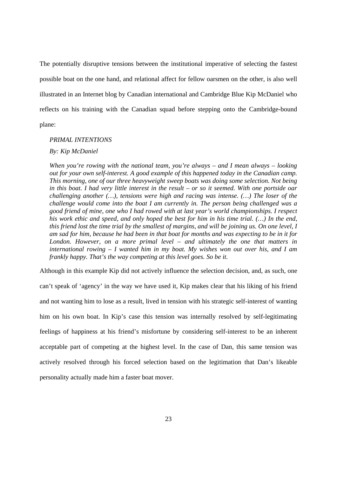The potentially disruptive tensions between the institutional imperative of selecting the fastest possible boat on the one hand, and relational affect for fellow oarsmen on the other, is also well illustrated in an Internet blog by Canadian international and Cambridge Blue Kip McDaniel who reflects on his training with the Canadian squad before stepping onto the Cambridge-bound plane:

#### *PRIMAL INTENTIONS*

#### *By: Kip McDaniel*

*When you're rowing with the national team, you're always – and I mean always – looking out for your own self-interest. A good example of this happened today in the Canadian camp. This morning, one of our three heavyweight sweep boats was doing some selection. Not being in this boat. I had very little interest in the result – or so it seemed. With one portside oar challenging another (…), tensions were high and racing was intense. (…) The loser of the challenge would come into the boat I am currently in. The person being challenged was a good friend of mine, one who I had rowed with at last year's world championships. I respect his work ethic and speed, and only hoped the best for him in his time trial. (…) In the end, this friend lost the time trial by the smallest of margins, and will be joining us. On one level, I am sad for him, because he had been in that boat for months and was expecting to be in it for London. However, on a more primal level – and ultimately the one that matters in international rowing – I wanted him in my boat. My wishes won out over his, and I am frankly happy. That's the way competing at this level goes. So be it.* 

Although in this example Kip did not actively influence the selection decision, and, as such, one can't speak of 'agency' in the way we have used it, Kip makes clear that his liking of his friend and not wanting him to lose as a result, lived in tension with his strategic self-interest of wanting him on his own boat. In Kip's case this tension was internally resolved by self-legitimating feelings of happiness at his friend's misfortune by considering self-interest to be an inherent acceptable part of competing at the highest level. In the case of Dan, this same tension was actively resolved through his forced selection based on the legitimation that Dan's likeable personality actually made him a faster boat mover.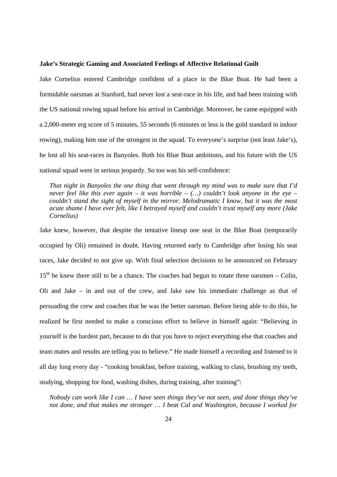#### **Jake's Strategic Gaming and Associated Feelings of Affective Relational Guilt**

Jake Cornelius entered Cambridge confident of a place in the Blue Boat. He had been a formidable oarsman at Stanford, had never lost a seat-race in his life, and had been training with the US national rowing squad before his arrival in Cambridge. Moreover, he came equipped with a 2,000-meter erg score of 5 minutes, 55 seconds (6 minutes or less is the gold standard in indoor rowing), making him one of the strongest in the squad. To everyone's surprise (not least Jake's), he lost all his seat-races in Banyoles. Both his Blue Boat ambitions, and his future with the US national squad were in serious jeopardy. So too was his self-confidence:

*That night in Banyoles the one thing that went through my mind was to make sure that I'd never feel like this ever again – it was horrible – (…) couldn't look anyone in the eye – couldn't stand the sight of myself in the mirror. Melodramatic I know, but it was the most acute shame I have ever felt, like I betrayed myself and couldn't trust myself any more (Jake Cornelius)* 

Jake knew, however, that despite the tentative lineup one seat in the Blue Boat (temporarily occupied by Oli) remained in doubt. Having returned early to Cambridge after losing his seat races, Jake decided to not give up. With final selection decisions to be announced on February  $15<sup>th</sup>$  he knew there still to be a chance. The coaches had begun to rotate three oarsmen – Colin, Oli and Jake – in and out of the crew, and Jake saw his immediate challenge as that of persuading the crew and coaches that he was the better oarsman. Before being able to do this, he realized he first needed to make a conscious effort to believe in himself again: "Believing in yourself is the hardest part, because to do that you have to reject everything else that coaches and team mates and results are telling you to believe." He made himself a recording and listened to it all day long every day - "cooking breakfast, before training, walking to class, brushing my teeth, studying, shopping for food, washing dishes, during training, after training":

*Nobody can work like I can … I have seen things they've not seen, and done things they've not done, and that makes me stronger … I beat Cal and Washington, because I worked for*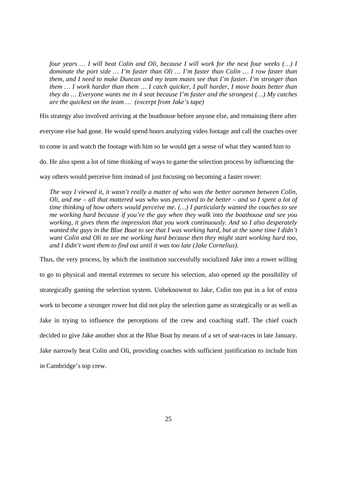*four years … I will beat Colin and Oli, because I will work for the next four weeks (…) I dominate the port side … I'm faster than Oli … I'm faster than Colin … I row faster than them, and I need to make Duncan and my team mates see that I'm faster. I'm stronger than them … I work harder than them … I catch quicker, I pull harder, I move boats better than they do … Everyone wants me in 4 seat because I'm faster and the strongest (…) My catches are the quickest on the team … (excerpt from Jake's tape)* 

His strategy also involved arriving at the boathouse before anyone else, and remaining there after

everyone else had gone. He would spend hours analyzing video footage and call the coaches over

to come in and watch the footage with him so he would get a sense of what they wanted him to

do. He also spent a lot of time thinking of ways to game the selection process by influencing the

way others would perceive him instead of just focusing on becoming a faster rower:

*The way I viewed it, it wasn't really a matter of who was the better oarsmen between Colin, Oli, and me – all that mattered was who was perceived to be better – and so I spent a lot of time thinking of how others would perceive me. (…) I particularly wanted the coaches to see me working hard because if you're the guy when they walk into the boathouse and see you working, it gives them the impression that you work continuously. And so I also desperately wanted the guys in the Blue Boat to see that I was working hard, but at the same time I didn't want Colin and Oli to see me working hard because then they might start working hard too, and I didn't want them to find out until it was too late (Jake Cornelius).* 

Thus, the very process, by which the institution successfully socialized Jake into a rower willing to go to physical and mental extremes to secure his selection, also opened up the possibility of strategically gaming the selection system. Unbeknownst to Jake, Colin too put in a lot of extra work to become a stronger rower but did not play the selection game as strategically or as well as Jake in trying to influence the perceptions of the crew and coaching staff. The chief coach decided to give Jake another shot at the Blue Boat by means of a set of seat-races in late January. Jake narrowly beat Colin and Oli, providing coaches with sufficient justification to include him in Cambridge's top crew.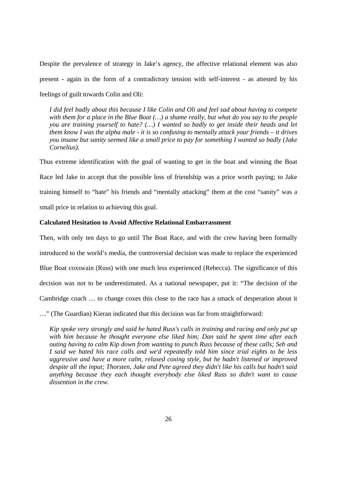Despite the prevalence of strategy in Jake's agency, the affective relational element was also present - again in the form of a contradictory tension with self-interest - as attested by his feelings of guilt towards Colin and Oli:

*I did feel badly about this because I like Colin and Oli and feel sad about having to compete with them for a place in the Blue Boat (…) a shame really, but what do you say to the people you are training yourself to hate? (…) I wanted so badly to get inside their heads and let them know I was the alpha male - it is so confusing to mentally attack your friends – it drives you insane but sanity seemed like a small price to pay for something I wanted so badly (Jake Cornelius).* 

Thus extreme identification with the goal of wanting to get in the boat and winning the Boat Race led Jake to accept that the possible loss of friendship was a price worth paying; to Jake training himself to "hate" his friends and "mentally attacking" them at the cost "sanity" was a small price in relation to achieving this goal.

#### **Calculated Hesitation to Avoid Affective Relational Embarrassment**

Then, with only ten days to go until The Boat Race, and with the crew having been formally introduced to the world's media, the controversial decision was made to replace the experienced Blue Boat coxswain (Russ) with one much less experienced (Rebecca). The significance of this decision was not to be underestimated. As a national newspaper, put it: "The decision of the Cambridge coach … to change coxes this close to the race has a smack of desperation about it

…" (The Guardian) Kieran indicated that this decision was far from straightforward:

*Kip spoke very strongly and said he hated Russ's calls in training and racing and only put up with him because he thought everyone else liked him; Dan said he spent time after each outing having to calm Kip down from wanting to punch Russ because of these calls; Seb and I said we hated his race calls and we'd repeatedly told him since trial eights to be less aggressive and have a more calm, relaxed coxing style, but he hadn't listened or improved despite all the input; Thorsten, Jake and Pete agreed they didn't like his calls but hadn't said anything because they each thought everybody else liked Russ so didn't want to cause dissention in the crew.*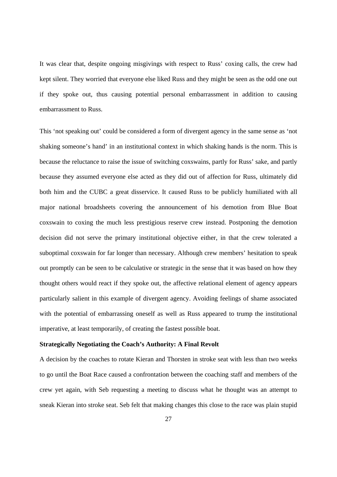It was clear that, despite ongoing misgivings with respect to Russ' coxing calls, the crew had kept silent. They worried that everyone else liked Russ and they might be seen as the odd one out if they spoke out, thus causing potential personal embarrassment in addition to causing embarrassment to Russ.

This 'not speaking out' could be considered a form of divergent agency in the same sense as 'not shaking someone's hand' in an institutional context in which shaking hands is the norm. This is because the reluctance to raise the issue of switching coxswains, partly for Russ' sake, and partly because they assumed everyone else acted as they did out of affection for Russ, ultimately did both him and the CUBC a great disservice. It caused Russ to be publicly humiliated with all major national broadsheets covering the announcement of his demotion from Blue Boat coxswain to coxing the much less prestigious reserve crew instead. Postponing the demotion decision did not serve the primary institutional objective either, in that the crew tolerated a suboptimal coxswain for far longer than necessary. Although crew members' hesitation to speak out promptly can be seen to be calculative or strategic in the sense that it was based on how they thought others would react if they spoke out, the affective relational element of agency appears particularly salient in this example of divergent agency. Avoiding feelings of shame associated with the potential of embarrassing oneself as well as Russ appeared to trump the institutional imperative, at least temporarily, of creating the fastest possible boat.

#### **Strategically Negotiating the Coach's Authority: A Final Revolt**

A decision by the coaches to rotate Kieran and Thorsten in stroke seat with less than two weeks to go until the Boat Race caused a confrontation between the coaching staff and members of the crew yet again, with Seb requesting a meeting to discuss what he thought was an attempt to sneak Kieran into stroke seat. Seb felt that making changes this close to the race was plain stupid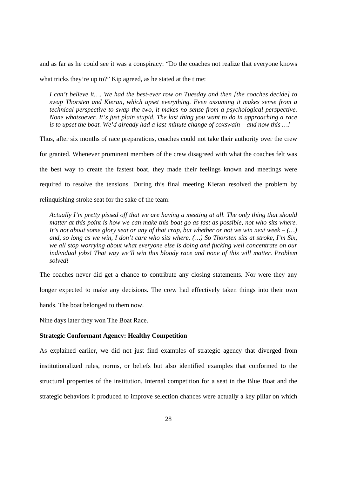and as far as he could see it was a conspiracy: "Do the coaches not realize that everyone knows

what tricks they're up to?" Kip agreed, as he stated at the time:

*I can't believe it…. We had the best-ever row on Tuesday and then [the coaches decide] to swap Thorsten and Kieran, which upset everything. Even assuming it makes sense from a technical perspective to swap the two, it makes no sense from a psychological perspective. None whatsoever. It's just plain stupid. The last thing you want to do in approaching a race is to upset the boat. We'd already had a last-minute change of coxswain – and now this …!* 

Thus, after six months of race preparations, coaches could not take their authority over the crew

for granted. Whenever prominent members of the crew disagreed with what the coaches felt was the best way to create the fastest boat, they made their feelings known and meetings were required to resolve the tensions. During this final meeting Kieran resolved the problem by relinquishing stroke seat for the sake of the team:

*Actually I'm pretty pissed off that we are having a meeting at all. The only thing that should matter at this point is how we can make this boat go as fast as possible, not who sits where. It's not about some glory seat or any of that crap, but whether or not we win next week – (…) and, so long as we win, I don't care who sits where. (…) So Thorsten sits at stroke, I'm Six, we all stop worrying about what everyone else is doing and fucking well concentrate on our individual jobs! That way we'll win this bloody race and none of this will matter. Problem solved!* 

The coaches never did get a chance to contribute any closing statements. Nor were they any longer expected to make any decisions. The crew had effectively taken things into their own hands. The boat belonged to them now.

Nine days later they won The Boat Race.

#### **Strategic Conformant Agency: Healthy Competition**

As explained earlier, we did not just find examples of strategic agency that diverged from institutionalized rules, norms, or beliefs but also identified examples that conformed to the structural properties of the institution. Internal competition for a seat in the Blue Boat and the strategic behaviors it produced to improve selection chances were actually a key pillar on which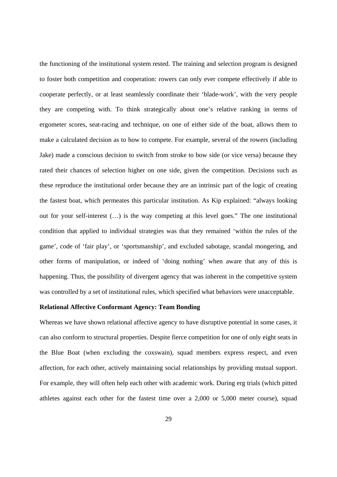the functioning of the institutional system rested. The training and selection program is designed to foster both competition and cooperation: rowers can only ever compete effectively if able to cooperate perfectly, or at least seamlessly coordinate their 'blade-work', with the very people they are competing with. To think strategically about one's relative ranking in terms of ergometer scores, seat-racing and technique, on one of either side of the boat, allows them to make a calculated decision as to how to compete. For example, several of the rowers (including Jake) made a conscious decision to switch from stroke to bow side (or vice versa) because they rated their chances of selection higher on one side, given the competition. Decisions such as these reproduce the institutional order because they are an intrinsic part of the logic of creating the fastest boat, which permeates this particular institution. As Kip explained: "always looking out for your self-interest (…) is the way competing at this level goes." The one institutional condition that applied to individual strategies was that they remained 'within the rules of the game', code of 'fair play', or 'sportsmanship', and excluded sabotage, scandal mongering, and other forms of manipulation, or indeed of 'doing nothing' when aware that any of this is happening. Thus, the possibility of divergent agency that was inherent in the competitive system was controlled by a set of institutional rules, which specified what behaviors were unacceptable.

#### **Relational Affective Conformant Agency: Team Bonding**

Whereas we have shown relational affective agency to have disruptive potential in some cases, it can also conform to structural properties. Despite fierce competition for one of only eight seats in the Blue Boat (when excluding the coxswain), squad members express respect, and even affection, for each other, actively maintaining social relationships by providing mutual support. For example, they will often help each other with academic work. During erg trials (which pitted athletes against each other for the fastest time over a 2,000 or 5,000 meter course), squad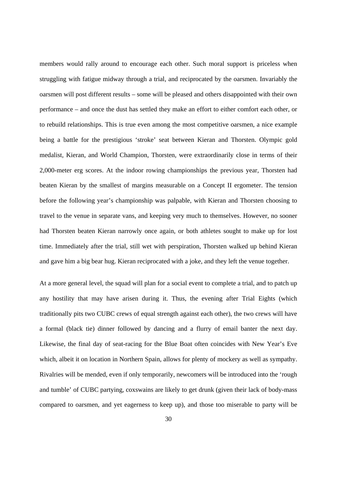members would rally around to encourage each other. Such moral support is priceless when struggling with fatigue midway through a trial, and reciprocated by the oarsmen. Invariably the oarsmen will post different results – some will be pleased and others disappointed with their own performance – and once the dust has settled they make an effort to either comfort each other, or to rebuild relationships. This is true even among the most competitive oarsmen, a nice example being a battle for the prestigious 'stroke' seat between Kieran and Thorsten. Olympic gold medalist, Kieran, and World Champion, Thorsten, were extraordinarily close in terms of their 2,000-meter erg scores. At the indoor rowing championships the previous year, Thorsten had beaten Kieran by the smallest of margins measurable on a Concept II ergometer. The tension before the following year's championship was palpable, with Kieran and Thorsten choosing to travel to the venue in separate vans, and keeping very much to themselves. However, no sooner had Thorsten beaten Kieran narrowly once again, or both athletes sought to make up for lost time. Immediately after the trial, still wet with perspiration, Thorsten walked up behind Kieran and gave him a big bear hug. Kieran reciprocated with a joke, and they left the venue together.

At a more general level, the squad will plan for a social event to complete a trial, and to patch up any hostility that may have arisen during it. Thus, the evening after Trial Eights (which traditionally pits two CUBC crews of equal strength against each other), the two crews will have a formal (black tie) dinner followed by dancing and a flurry of email banter the next day. Likewise, the final day of seat-racing for the Blue Boat often coincides with New Year's Eve which, albeit it on location in Northern Spain, allows for plenty of mockery as well as sympathy. Rivalries will be mended, even if only temporarily, newcomers will be introduced into the 'rough and tumble' of CUBC partying, coxswains are likely to get drunk (given their lack of body-mass compared to oarsmen, and yet eagerness to keep up), and those too miserable to party will be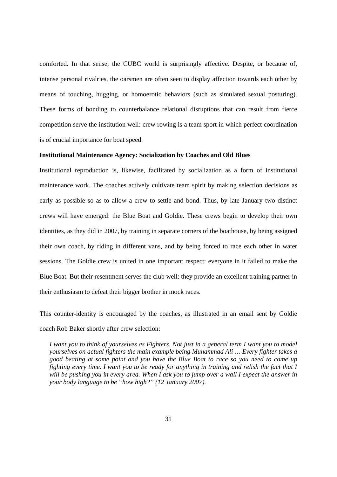comforted. In that sense, the CUBC world is surprisingly affective. Despite, or because of, intense personal rivalries, the oarsmen are often seen to display affection towards each other by means of touching, hugging, or homoerotic behaviors (such as simulated sexual posturing). These forms of bonding to counterbalance relational disruptions that can result from fierce competition serve the institution well: crew rowing is a team sport in which perfect coordination is of crucial importance for boat speed.

#### **Institutional Maintenance Agency: Socialization by Coaches and Old Blues**

Institutional reproduction is, likewise, facilitated by socialization as a form of institutional maintenance work. The coaches actively cultivate team spirit by making selection decisions as early as possible so as to allow a crew to settle and bond. Thus, by late January two distinct crews will have emerged: the Blue Boat and Goldie. These crews begin to develop their own identities, as they did in 2007, by training in separate corners of the boathouse, by being assigned their own coach, by riding in different vans, and by being forced to race each other in water sessions. The Goldie crew is united in one important respect: everyone in it failed to make the Blue Boat. But their resentment serves the club well: they provide an excellent training partner in their enthusiasm to defeat their bigger brother in mock races.

This counter-identity is encouraged by the coaches, as illustrated in an email sent by Goldie coach Rob Baker shortly after crew selection:

*I want you to think of yourselves as Fighters. Not just in a general term I want you to model yourselves on actual fighters the main example being Muhammad Ali … Every fighter takes a good beating at some point and you have the Blue Boat to race so you need to come up fighting every time. I want you to be ready for anything in training and relish the fact that I will be pushing you in every area. When I ask you to jump over a wall I expect the answer in your body language to be "how high?" (12 January 2007).*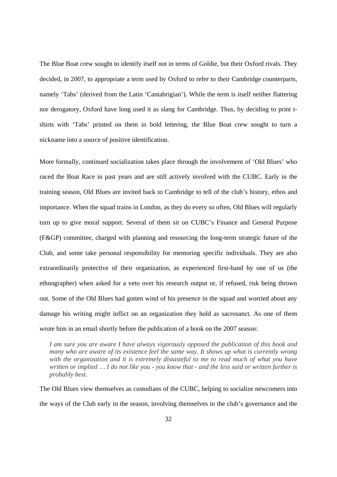The Blue Boat crew sought to identify itself not in terms of Goldie, but their Oxford rivals. They decided, in 2007, to appropriate a term used by Oxford to refer to their Cambridge counterparts, namely 'Tabs' (derived from the Latin 'Cantabrigian'). While the term is itself neither flattering nor derogatory, Oxford have long used it as slang for Cambridge. Thus, by deciding to print tshirts with 'Tabs' printed on them in bold lettering, the Blue Boat crew sought to turn a nickname into a source of positive identification.

More formally, continued socialization takes place through the involvement of 'Old Blues' who raced the Boat Race in past years and are still actively involved with the CUBC. Early in the training season, Old Blues are invited back to Cambridge to tell of the club's history, ethos and importance. When the squad trains in London, as they do every so often, Old Blues will regularly turn up to give moral support. Several of them sit on CUBC's Finance and General Purpose (F&GP) committee, charged with planning and resourcing the long-term strategic future of the Club, and some take personal responsibility for mentoring specific individuals. They are also extraordinarily protective of their organization, as experienced first-hand by one of us (the ethnographer) when asked for a veto over his research output or, if refused, risk being thrown out. Some of the Old Blues had gotten wind of his presence in the squad and worried about any damage his writing might inflict on an organization they hold as sacrosanct. As one of them wrote him in an email shortly before the publication of a book on the 2007 season:

*I am sure you are aware I have always vigorously opposed the publication of this book and many who are aware of its existence feel the same way. It shows up what is currently wrong with the organization and it is extremely distasteful to me to read much of what you have written or implied … I do not like you - you know that - and the less said or written further is probably best.* 

The Old Blues view themselves as custodians of the CUBC, helping to socialize newcomers into the ways of the Club early in the season, involving themselves in the club's governance and the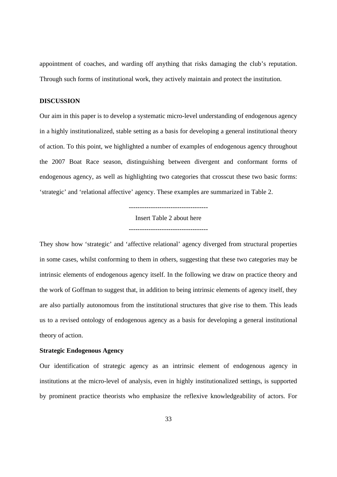appointment of coaches, and warding off anything that risks damaging the club's reputation. Through such forms of institutional work, they actively maintain and protect the institution.

#### **DISCUSSION**

Our aim in this paper is to develop a systematic micro-level understanding of endogenous agency in a highly institutionalized, stable setting as a basis for developing a general institutional theory of action. To this point, we highlighted a number of examples of endogenous agency throughout the 2007 Boat Race season, distinguishing between divergent and conformant forms of endogenous agency, as well as highlighting two categories that crosscut these two basic forms: 'strategic' and 'relational affective' agency. These examples are summarized in Table 2.

------------------------------------

Insert Table 2 about here ------------------------------------

They show how 'strategic' and 'affective relational' agency diverged from structural properties in some cases, whilst conforming to them in others, suggesting that these two categories may be intrinsic elements of endogenous agency itself. In the following we draw on practice theory and the work of Goffman to suggest that, in addition to being intrinsic elements of agency itself, they are also partially autonomous from the institutional structures that give rise to them. This leads us to a revised ontology of endogenous agency as a basis for developing a general institutional theory of action.

#### **Strategic Endogenous Agency**

Our identification of strategic agency as an intrinsic element of endogenous agency in institutions at the micro-level of analysis, even in highly institutionalized settings, is supported by prominent practice theorists who emphasize the reflexive knowledgeability of actors. For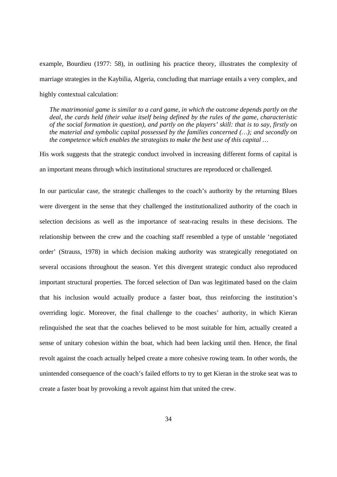example, Bourdieu (1977: 58), in outlining his practice theory, illustrates the complexity of marriage strategies in the Kaybilia, Algeria, concluding that marriage entails a very complex, and highly contextual calculation:

*The matrimonial game is similar to a card game, in which the outcome depends partly on the deal, the cards held (their value itself being defined by the rules of the game, characteristic of the social formation in question), and partly on the players' skill: that is to say, firstly on the material and symbolic capital possessed by the families concerned (…); and secondly on the competence which enables the strategists to make the best use of this capital …* 

His work suggests that the strategic conduct involved in increasing different forms of capital is an important means through which institutional structures are reproduced or challenged.

In our particular case, the strategic challenges to the coach's authority by the returning Blues were divergent in the sense that they challenged the institutionalized authority of the coach in selection decisions as well as the importance of seat-racing results in these decisions. The relationship between the crew and the coaching staff resembled a type of unstable 'negotiated order' (Strauss, 1978) in which decision making authority was strategically renegotiated on several occasions throughout the season. Yet this divergent strategic conduct also reproduced important structural properties. The forced selection of Dan was legitimated based on the claim that his inclusion would actually produce a faster boat, thus reinforcing the institution's overriding logic. Moreover, the final challenge to the coaches' authority, in which Kieran relinquished the seat that the coaches believed to be most suitable for him, actually created a sense of unitary cohesion within the boat, which had been lacking until then. Hence, the final revolt against the coach actually helped create a more cohesive rowing team. In other words, the unintended consequence of the coach's failed efforts to try to get Kieran in the stroke seat was to create a faster boat by provoking a revolt against him that united the crew.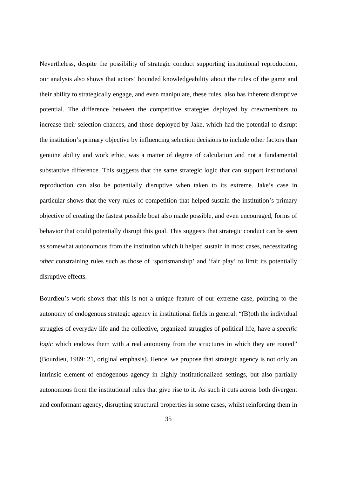Nevertheless, despite the possibility of strategic conduct supporting institutional reproduction, our analysis also shows that actors' bounded knowledgeability about the rules of the game and their ability to strategically engage, and even manipulate, these rules, also has inherent disruptive potential. The difference between the competitive strategies deployed by crewmembers to increase their selection chances, and those deployed by Jake, which had the potential to disrupt the institution's primary objective by influencing selection decisions to include other factors than genuine ability and work ethic, was a matter of degree of calculation and not a fundamental substantive difference. This suggests that the same strategic logic that can support institutional reproduction can also be potentially disruptive when taken to its extreme. Jake's case in particular shows that the very rules of competition that helped sustain the institution's primary objective of creating the fastest possible boat also made possible, and even encouraged, forms of behavior that could potentially disrupt this goal. This suggests that strategic conduct can be seen as somewhat autonomous from the institution which it helped sustain in most cases, necessitating *other* constraining rules such as those of 'sportsmanship' and 'fair play' to limit its potentially disruptive effects.

Bourdieu's work shows that this is not a unique feature of our extreme case, pointing to the autonomy of endogenous strategic agency in institutional fields in general: "(B)oth the individual struggles of everyday life and the collective, organized struggles of political life, have a *specific logic* which endows them with a real autonomy from the structures in which they are rooted" (Bourdieu, 1989: 21, original emphasis). Hence, we propose that strategic agency is not only an intrinsic element of endogenous agency in highly institutionalized settings, but also partially autonomous from the institutional rules that give rise to it. As such it cuts across both divergent and conformant agency, disrupting structural properties in some cases, whilst reinforcing them in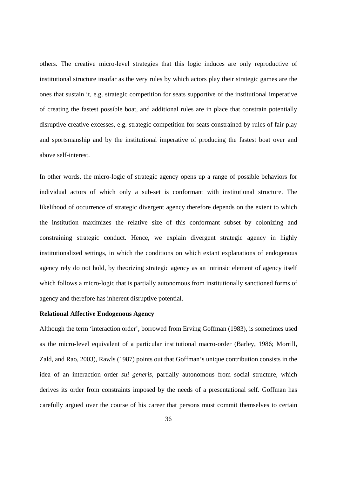others. The creative micro-level strategies that this logic induces are only reproductive of institutional structure insofar as the very rules by which actors play their strategic games are the ones that sustain it, e.g. strategic competition for seats supportive of the institutional imperative of creating the fastest possible boat, and additional rules are in place that constrain potentially disruptive creative excesses, e.g. strategic competition for seats constrained by rules of fair play and sportsmanship and by the institutional imperative of producing the fastest boat over and above self-interest.

In other words, the micro-logic of strategic agency opens up a range of possible behaviors for individual actors of which only a sub-set is conformant with institutional structure. The likelihood of occurrence of strategic divergent agency therefore depends on the extent to which the institution maximizes the relative size of this conformant subset by colonizing and constraining strategic conduct. Hence, we explain divergent strategic agency in highly institutionalized settings, in which the conditions on which extant explanations of endogenous agency rely do not hold, by theorizing strategic agency as an intrinsic element of agency itself which follows a micro-logic that is partially autonomous from institutionally sanctioned forms of agency and therefore has inherent disruptive potential.

#### **Relational Affective Endogenous Agency**

Although the term 'interaction order', borrowed from Erving Goffman (1983), is sometimes used as the micro-level equivalent of a particular institutional macro-order (Barley, 1986; Morrill, Zald, and Rao, 2003), Rawls (1987) points out that Goffman's unique contribution consists in the idea of an interaction order *sui generis,* partially autonomous from social structure, which derives its order from constraints imposed by the needs of a presentational self. Goffman has carefully argued over the course of his career that persons must commit themselves to certain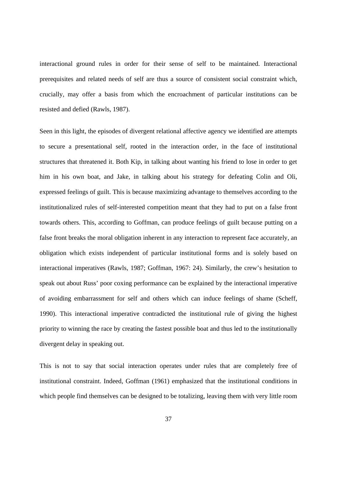interactional ground rules in order for their sense of self to be maintained. Interactional prerequisites and related needs of self are thus a source of consistent social constraint which, crucially, may offer a basis from which the encroachment of particular institutions can be resisted and defied (Rawls, 1987).

Seen in this light, the episodes of divergent relational affective agency we identified are attempts to secure a presentational self, rooted in the interaction order, in the face of institutional structures that threatened it. Both Kip, in talking about wanting his friend to lose in order to get him in his own boat, and Jake, in talking about his strategy for defeating Colin and Oli, expressed feelings of guilt. This is because maximizing advantage to themselves according to the institutionalized rules of self-interested competition meant that they had to put on a false front towards others. This, according to Goffman, can produce feelings of guilt because putting on a false front breaks the moral obligation inherent in any interaction to represent face accurately, an obligation which exists independent of particular institutional forms and is solely based on interactional imperatives (Rawls, 1987; Goffman, 1967: 24). Similarly, the crew's hesitation to speak out about Russ' poor coxing performance can be explained by the interactional imperative of avoiding embarrassment for self and others which can induce feelings of shame (Scheff, 1990). This interactional imperative contradicted the institutional rule of giving the highest priority to winning the race by creating the fastest possible boat and thus led to the institutionally divergent delay in speaking out.

This is not to say that social interaction operates under rules that are completely free of institutional constraint. Indeed, Goffman (1961) emphasized that the institutional conditions in which people find themselves can be designed to be totalizing, leaving them with very little room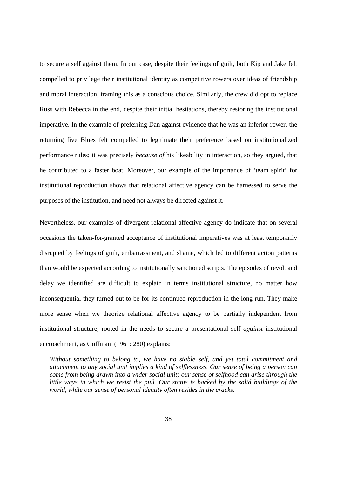to secure a self against them. In our case, despite their feelings of guilt, both Kip and Jake felt compelled to privilege their institutional identity as competitive rowers over ideas of friendship and moral interaction, framing this as a conscious choice. Similarly, the crew did opt to replace Russ with Rebecca in the end, despite their initial hesitations, thereby restoring the institutional imperative. In the example of preferring Dan against evidence that he was an inferior rower, the returning five Blues felt compelled to legitimate their preference based on institutionalized performance rules; it was precisely *because of* his likeability in interaction, so they argued, that he contributed to a faster boat. Moreover, our example of the importance of 'team spirit' for institutional reproduction shows that relational affective agency can be harnessed to serve the purposes of the institution, and need not always be directed against it.

Nevertheless, our examples of divergent relational affective agency do indicate that on several occasions the taken-for-granted acceptance of institutional imperatives was at least temporarily disrupted by feelings of guilt, embarrassment, and shame, which led to different action patterns than would be expected according to institutionally sanctioned scripts. The episodes of revolt and delay we identified are difficult to explain in terms institutional structure, no matter how inconsequential they turned out to be for its continued reproduction in the long run. They make more sense when we theorize relational affective agency to be partially independent from institutional structure, rooted in the needs to secure a presentational self *against* institutional encroachment, as Goffman (1961: 280) explains:

*Without something to belong to, we have no stable self, and yet total commitment and attachment to any social unit implies a kind of selflessness. Our sense of being a person can come from being drawn into a wider social unit; our sense of selfhood can arise through the little ways in which we resist the pull. Our status is backed by the solid buildings of the world, while our sense of personal identity often resides in the cracks.*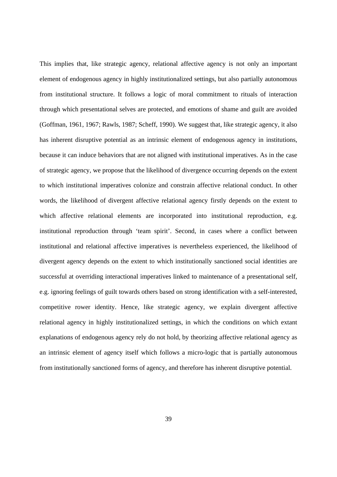This implies that, like strategic agency, relational affective agency is not only an important element of endogenous agency in highly institutionalized settings, but also partially autonomous from institutional structure. It follows a logic of moral commitment to rituals of interaction through which presentational selves are protected, and emotions of shame and guilt are avoided (Goffman, 1961, 1967; Rawls, 1987; Scheff, 1990). We suggest that, like strategic agency, it also has inherent disruptive potential as an intrinsic element of endogenous agency in institutions, because it can induce behaviors that are not aligned with institutional imperatives. As in the case of strategic agency, we propose that the likelihood of divergence occurring depends on the extent to which institutional imperatives colonize and constrain affective relational conduct. In other words, the likelihood of divergent affective relational agency firstly depends on the extent to which affective relational elements are incorporated into institutional reproduction, e.g. institutional reproduction through 'team spirit'. Second, in cases where a conflict between institutional and relational affective imperatives is nevertheless experienced, the likelihood of divergent agency depends on the extent to which institutionally sanctioned social identities are successful at overriding interactional imperatives linked to maintenance of a presentational self, e.g. ignoring feelings of guilt towards others based on strong identification with a self-interested, competitive rower identity. Hence, like strategic agency, we explain divergent affective relational agency in highly institutionalized settings, in which the conditions on which extant explanations of endogenous agency rely do not hold, by theorizing affective relational agency as an intrinsic element of agency itself which follows a micro-logic that is partially autonomous from institutionally sanctioned forms of agency, and therefore has inherent disruptive potential.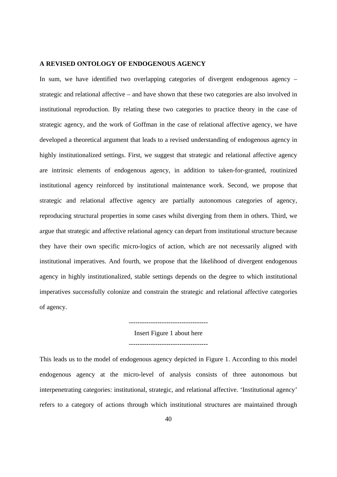#### **A REVISED ONTOLOGY OF ENDOGENOUS AGENCY**

In sum, we have identified two overlapping categories of divergent endogenous agency – strategic and relational affective – and have shown that these two categories are also involved in institutional reproduction. By relating these two categories to practice theory in the case of strategic agency, and the work of Goffman in the case of relational affective agency, we have developed a theoretical argument that leads to a revised understanding of endogenous agency in highly institutionalized settings. First, we suggest that strategic and relational affective agency are intrinsic elements of endogenous agency, in addition to taken-for-granted, routinized institutional agency reinforced by institutional maintenance work. Second, we propose that strategic and relational affective agency are partially autonomous categories of agency, reproducing structural properties in some cases whilst diverging from them in others. Third, we argue that strategic and affective relational agency can depart from institutional structure because they have their own specific micro-logics of action, which are not necessarily aligned with institutional imperatives. And fourth, we propose that the likelihood of divergent endogenous agency in highly institutionalized, stable settings depends on the degree to which institutional imperatives successfully colonize and constrain the strategic and relational affective categories of agency.

> Insert Figure 1 about here ------------------------------------

------------------------------------

This leads us to the model of endogenous agency depicted in Figure 1. According to this model endogenous agency at the micro-level of analysis consists of three autonomous but interpenetrating categories: institutional, strategic, and relational affective. 'Institutional agency' refers to a category of actions through which institutional structures are maintained through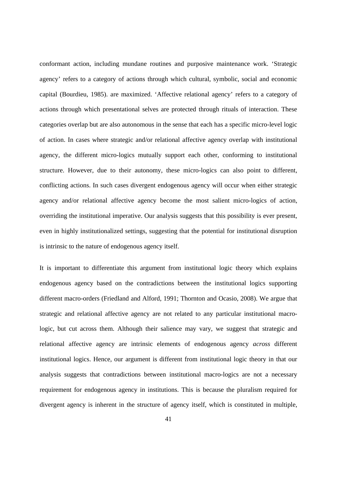conformant action, including mundane routines and purposive maintenance work. 'Strategic agency' refers to a category of actions through which cultural, symbolic, social and economic capital (Bourdieu, 1985). are maximized. 'Affective relational agency' refers to a category of actions through which presentational selves are protected through rituals of interaction. These categories overlap but are also autonomous in the sense that each has a specific micro-level logic of action. In cases where strategic and/or relational affective agency overlap with institutional agency, the different micro-logics mutually support each other, conforming to institutional structure. However, due to their autonomy, these micro-logics can also point to different, conflicting actions. In such cases divergent endogenous agency will occur when either strategic agency and/or relational affective agency become the most salient micro-logics of action, overriding the institutional imperative. Our analysis suggests that this possibility is ever present, even in highly institutionalized settings, suggesting that the potential for institutional disruption is intrinsic to the nature of endogenous agency itself.

It is important to differentiate this argument from institutional logic theory which explains endogenous agency based on the contradictions between the institutional logics supporting different macro-orders (Friedland and Alford, 1991; Thornton and Ocasio, 2008). We argue that strategic and relational affective agency are not related to any particular institutional macrologic, but cut across them. Although their salience may vary, we suggest that strategic and relational affective agency are intrinsic elements of endogenous agency *across* different institutional logics. Hence, our argument is different from institutional logic theory in that our analysis suggests that contradictions between institutional macro-logics are not a necessary requirement for endogenous agency in institutions. This is because the pluralism required for divergent agency is inherent in the structure of agency itself, which is constituted in multiple,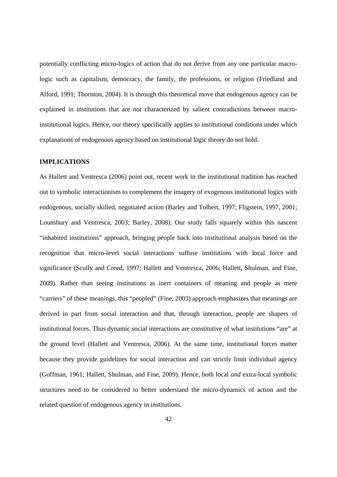potentially conflicting micro-logics of action that do not derive from any one particular macrologic such as capitalism, democracy, the family, the professions, or religion (Friedland and Alford, 1991; Thornton, 2004). It is through this theoretical move that endogenous agency can be explained in institutions that are *not* characterized by salient contradictions between macroinstitutional logics. Hence, our theory specifically applies to institutional conditions under which explanations of endogenous agency based on institutional logic theory do not hold.

#### **IMPLICATIONS**

As Hallett and Ventresca (2006) point out, recent work in the institutional tradition has reached out to symbolic interactionism to complement the imagery of exogenous institutional logics with endogenous, socially skilled, negotiated action (Barley and Tolbert, 1997; Fligstein, 1997, 2001; Lounsbury and Ventresca, 2003; Barley, 2008). Our study falls squarely within this nascent "inhabited institutions" approach, bringing people back into institutional analysis based on the recognition that micro-level social interactions suffuse institutions with local force and significance (Scully and Creed, 1997; Hallett and Ventresca, 2006; Hallett, Shulman, and Fine, 2009). Rather than seeing institutions as inert containers of meaning and people as mere "carriers" of these meanings, this "peopled" (Fine, 2003) approach emphasizes that meanings are derived in part from social interaction and that, through interaction, people are shapers of institutional forces. Thus dynamic social interactions are constitutive of what institutions "are" at the ground level (Hallett and Ventresca, 2006). At the same time, institutional forces matter because they provide guidelines for social interaction and can strictly limit individual agency (Goffman, 1961; Hallett, Shulman, and Fine, 2009). Hence, both local *and* extra-local symbolic structures need to be considered to better understand the micro-dynamics of action and the related question of endogenous agency in institutions.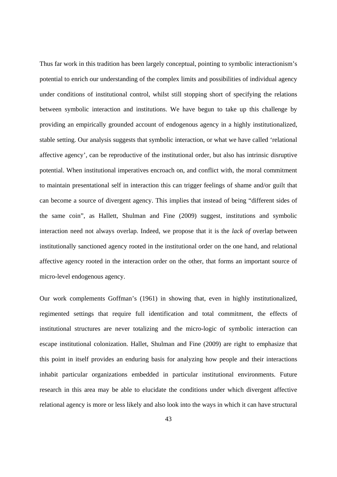Thus far work in this tradition has been largely conceptual, pointing to symbolic interactionism's potential to enrich our understanding of the complex limits and possibilities of individual agency under conditions of institutional control, whilst still stopping short of specifying the relations between symbolic interaction and institutions. We have begun to take up this challenge by providing an empirically grounded account of endogenous agency in a highly institutionalized, stable setting. Our analysis suggests that symbolic interaction, or what we have called 'relational affective agency', can be reproductive of the institutional order, but also has intrinsic disruptive potential. When institutional imperatives encroach on, and conflict with, the moral commitment to maintain presentational self in interaction this can trigger feelings of shame and/or guilt that can become a source of divergent agency. This implies that instead of being "different sides of the same coin", as Hallett, Shulman and Fine (2009) suggest, institutions and symbolic interaction need not always overlap. Indeed, we propose that it is the *lack of* overlap between institutionally sanctioned agency rooted in the institutional order on the one hand, and relational affective agency rooted in the interaction order on the other, that forms an important source of micro-level endogenous agency.

Our work complements Goffman's (1961) in showing that, even in highly institutionalized, regimented settings that require full identification and total commitment, the effects of institutional structures are never totalizing and the micro-logic of symbolic interaction can escape institutional colonization. Hallet, Shulman and Fine (2009) are right to emphasize that this point in itself provides an enduring basis for analyzing how people and their interactions inhabit particular organizations embedded in particular institutional environments. Future research in this area may be able to elucidate the conditions under which divergent affective relational agency is more or less likely and also look into the ways in which it can have structural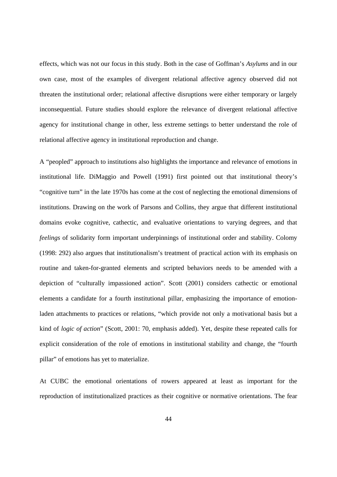effects, which was not our focus in this study. Both in the case of Goffman's *Asylums* and in our own case, most of the examples of divergent relational affective agency observed did not threaten the institutional order; relational affective disruptions were either temporary or largely inconsequential. Future studies should explore the relevance of divergent relational affective agency for institutional change in other, less extreme settings to better understand the role of relational affective agency in institutional reproduction and change.

A "peopled" approach to institutions also highlights the importance and relevance of emotions in institutional life. DiMaggio and Powell (1991) first pointed out that institutional theory's "cognitive turn" in the late 1970s has come at the cost of neglecting the emotional dimensions of institutions. Drawing on the work of Parsons and Collins, they argue that different institutional domains evoke cognitive, cathectic, and evaluative orientations to varying degrees, and that *feelings* of solidarity form important underpinnings of institutional order and stability. Colomy (1998: 292) also argues that institutionalism's treatment of practical action with its emphasis on routine and taken-for-granted elements and scripted behaviors needs to be amended with a depiction of "culturally impassioned action". Scott (2001) considers cathectic or emotional elements a candidate for a fourth institutional pillar, emphasizing the importance of emotionladen attachments to practices or relations, "which provide not only a motivational basis but a kind of *logic of action*" (Scott, 2001: 70, emphasis added). Yet, despite these repeated calls for explicit consideration of the role of emotions in institutional stability and change, the "fourth pillar" of emotions has yet to materialize.

At CUBC the emotional orientations of rowers appeared at least as important for the reproduction of institutionalized practices as their cognitive or normative orientations. The fear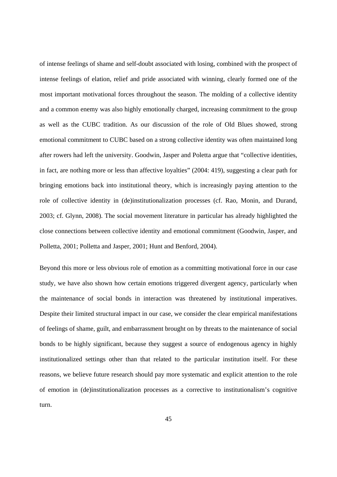of intense feelings of shame and self-doubt associated with losing, combined with the prospect of intense feelings of elation, relief and pride associated with winning, clearly formed one of the most important motivational forces throughout the season. The molding of a collective identity and a common enemy was also highly emotionally charged, increasing commitment to the group as well as the CUBC tradition. As our discussion of the role of Old Blues showed, strong emotional commitment to CUBC based on a strong collective identity was often maintained long after rowers had left the university. Goodwin, Jasper and Poletta argue that "collective identities, in fact, are nothing more or less than affective loyalties" (2004: 419), suggesting a clear path for bringing emotions back into institutional theory, which is increasingly paying attention to the role of collective identity in (de)institutionalization processes (cf. Rao, Monin, and Durand, 2003; cf. Glynn, 2008). The social movement literature in particular has already highlighted the close connections between collective identity and emotional commitment (Goodwin, Jasper, and Polletta, 2001; Polletta and Jasper, 2001; Hunt and Benford, 2004).

Beyond this more or less obvious role of emotion as a committing motivational force in our case study, we have also shown how certain emotions triggered divergent agency, particularly when the maintenance of social bonds in interaction was threatened by institutional imperatives. Despite their limited structural impact in our case, we consider the clear empirical manifestations of feelings of shame, guilt, and embarrassment brought on by threats to the maintenance of social bonds to be highly significant, because they suggest a source of endogenous agency in highly institutionalized settings other than that related to the particular institution itself. For these reasons, we believe future research should pay more systematic and explicit attention to the role of emotion in (de)institutionalization processes as a corrective to institutionalism's cognitive turn.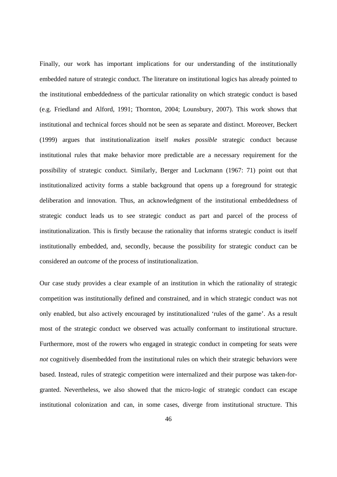Finally, our work has important implications for our understanding of the institutionally embedded nature of strategic conduct. The literature on institutional logics has already pointed to the institutional embeddedness of the particular rationality on which strategic conduct is based (e.g. Friedland and Alford, 1991; Thornton, 2004; Lounsbury, 2007). This work shows that institutional and technical forces should not be seen as separate and distinct. Moreover, Beckert (1999) argues that institutionalization itself *makes possible* strategic conduct because institutional rules that make behavior more predictable are a necessary requirement for the possibility of strategic conduct. Similarly, Berger and Luckmann (1967: 71) point out that institutionalized activity forms a stable background that opens up a foreground for strategic deliberation and innovation. Thus, an acknowledgment of the institutional embeddedness of strategic conduct leads us to see strategic conduct as part and parcel of the process of institutionalization. This is firstly because the rationality that informs strategic conduct is itself institutionally embedded, and, secondly, because the possibility for strategic conduct can be considered an *outcome* of the process of institutionalization.

Our case study provides a clear example of an institution in which the rationality of strategic competition was institutionally defined and constrained, and in which strategic conduct was not only enabled, but also actively encouraged by institutionalized 'rules of the game'. As a result most of the strategic conduct we observed was actually conformant to institutional structure. Furthermore, most of the rowers who engaged in strategic conduct in competing for seats were *not* cognitively disembedded from the institutional rules on which their strategic behaviors were based. Instead, rules of strategic competition were internalized and their purpose was taken-forgranted. Nevertheless, we also showed that the micro-logic of strategic conduct can escape institutional colonization and can, in some cases, diverge from institutional structure. This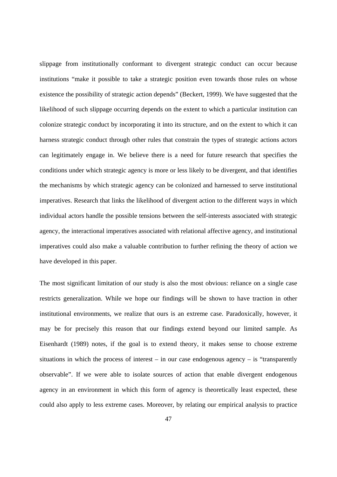slippage from institutionally conformant to divergent strategic conduct can occur because institutions "make it possible to take a strategic position even towards those rules on whose existence the possibility of strategic action depends" (Beckert, 1999). We have suggested that the likelihood of such slippage occurring depends on the extent to which a particular institution can colonize strategic conduct by incorporating it into its structure, and on the extent to which it can harness strategic conduct through other rules that constrain the types of strategic actions actors can legitimately engage in. We believe there is a need for future research that specifies the conditions under which strategic agency is more or less likely to be divergent, and that identifies the mechanisms by which strategic agency can be colonized and harnessed to serve institutional imperatives. Research that links the likelihood of divergent action to the different ways in which individual actors handle the possible tensions between the self-interests associated with strategic agency, the interactional imperatives associated with relational affective agency, and institutional imperatives could also make a valuable contribution to further refining the theory of action we have developed in this paper.

The most significant limitation of our study is also the most obvious: reliance on a single case restricts generalization. While we hope our findings will be shown to have traction in other institutional environments, we realize that ours is an extreme case. Paradoxically, however, it may be for precisely this reason that our findings extend beyond our limited sample. As Eisenhardt (1989) notes, if the goal is to extend theory, it makes sense to choose extreme situations in which the process of interest – in our case endogenous agency – is "transparently" observable". If we were able to isolate sources of action that enable divergent endogenous agency in an environment in which this form of agency is theoretically least expected, these could also apply to less extreme cases. Moreover, by relating our empirical analysis to practice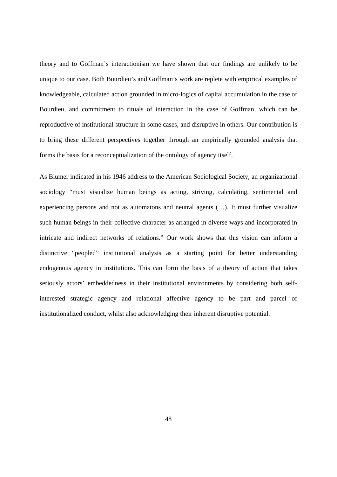theory and to Goffman's interactionism we have shown that our findings are unlikely to be unique to our case. Both Bourdieu's and Goffman's work are replete with empirical examples of knowledgeable, calculated action grounded in micro-logics of capital accumulation in the case of Bourdieu, and commitment to rituals of interaction in the case of Goffman, which can be reproductive of institutional structure in some cases, and disruptive in others. Our contribution is to bring these different perspectives together through an empirically grounded analysis that forms the basis for a reconceptualization of the ontology of agency itself.

As Blumer indicated in his 1946 address to the American Sociological Society, an organizational sociology "must visualize human beings as acting, striving, calculating, sentimental and experiencing persons and not as automatons and neutral agents (…). It must further visualize such human beings in their collective character as arranged in diverse ways and incorporated in intricate and indirect networks of relations." Our work shows that this vision can inform a distinctive "peopled" institutional analysis as a starting point for better understanding endogenous agency in institutions. This can form the basis of a theory of action that takes seriously actors' embeddedness in their institutional environments by considering both selfinterested strategic agency and relational affective agency to be part and parcel of institutionalized conduct, whilst also acknowledging their inherent disruptive potential.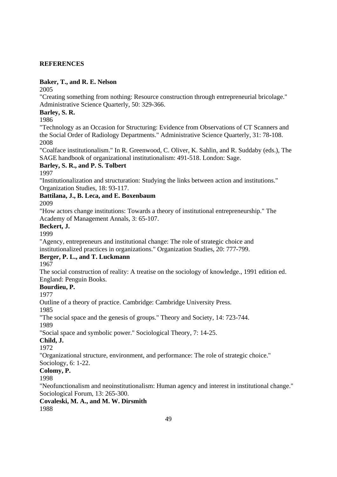#### **REFERENCES**

#### **Baker, T., and R. E. Nelson**

2005

"Creating something from nothing: Resource construction through entrepreneurial bricolage." Administrative Science Quarterly, 50: 329-366.

#### **Barley, S. R.**

1986

"Technology as an Occasion for Structuring: Evidence from Observations of CT Scanners and the Social Order of Radiology Departments." Administrative Science Quarterly, 31: 78-108. 2008

"Coalface institutionalism." In R. Greenwood, C. Oliver, K. Sahlin, and R. Suddaby (eds.), The SAGE handbook of organizational institutionalism: 491-518. London: Sage.

#### **Barley, S. R., and P. S. Tolbert**

1997

"Institutionalization and structuration: Studying the links between action and institutions." Organization Studies, 18: 93-117.

## **Battilana, J., B. Leca, and E. Boxenbaum**

2009

"How actors change institutions: Towards a theory of institutional entrepreneurship." The Academy of Management Annals, 3: 65-107.

**Beckert, J.** 

1999

"Agency, entrepreneurs and institutional change: The role of strategic choice and institutionalized practices in organizations." Organization Studies, 20: 777-799.

## **Berger, P. L., and T. Luckmann**

1967

The social construction of reality: A treatise on the sociology of knowledge., 1991 edition ed. England: Penguin Books.

#### **Bourdieu, P.**

1977

Outline of a theory of practice. Cambridge: Cambridge University Press.

1985

"The social space and the genesis of groups." Theory and Society, 14: 723-744.

1989

"Social space and symbolic power." Sociological Theory, 7: 14-25.

**Child, J.** 

1972

"Organizational structure, environment, and performance: The role of strategic choice."

Sociology, 6: 1-22.

## **Colomy, P.**

1998

"Neofunctionalism and neoinstitutionalism: Human agency and interest in institutional change." Sociological Forum, 13: 265-300.

**Covaleski, M. A., and M. W. Dirsmith**  1988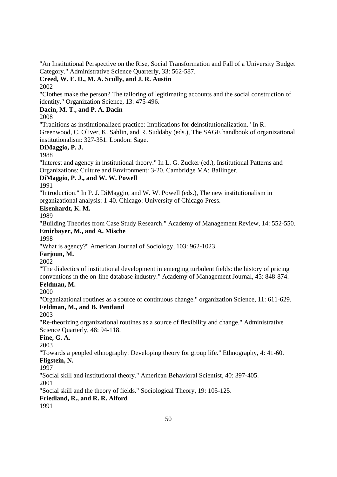"An Institutional Perspective on the Rise, Social Transformation and Fall of a University Budget Category." Administrative Science Quarterly, 33: 562-587.

# **Creed, W. E. D., M. A. Scully, and J. R. Austin**

2002

"Clothes make the person? The tailoring of legitimating accounts and the social construction of identity." Organization Science, 13: 475-496.

## **Dacin, M. T., and P. A. Dacin**

## 2008

"Traditions as institutionalized practice: Implications for deinstitutionalization." In R. Greenwood, C. Oliver, K. Sahlin, and R. Suddaby (eds.), The SAGE handbook of organizational institutionalism: 327-351. London: Sage.

## **DiMaggio, P. J.**

1988

"Interest and agency in institutional theory." In L. G. Zucker (ed.), Institutional Patterns and Organizations: Culture and Environment: 3-20. Cambridge MA: Ballinger.

## **DiMaggio, P. J., and W. W. Powell**

1991

"Introduction." In P. J. DiMaggio, and W. W. Powell (eds.), The new institutionalism in organizational analysis: 1-40. Chicago: University of Chicago Press.

## **Eisenhardt, K. M.**

1989

"Building Theories from Case Study Research." Academy of Management Review, 14: 552-550. **Emirbayer, M., and A. Mische** 

1998

"What is agency?" American Journal of Sociology, 103: 962-1023.

## **Farjoun, M.**

2002

"The dialectics of institutional development in emerging turbulent fields: the history of pricing conventions in the on-line database industry." Academy of Management Journal, 45: 848-874.

## **Feldman, M.**

2000

"Organizational routines as a source of continuous change." organization Science, 11: 611-629. **Feldman, M., and B. Pentland** 

2003

"Re-theorizing organizational routines as a source of flexibility and change." Administrative Science Quarterly, 48: 94-118.

**Fine, G. A.** 

2003

"Towards a peopled ethnography: Developing theory for group life." Ethnography, 4: 41-60. **Fligstein, N.** 

1997

"Social skill and institutional theory." American Behavioral Scientist, 40: 397-405.

2001

"Social skill and the theory of fields." Sociological Theory, 19: 105-125.

**Friedland, R., and R. R. Alford** 

1991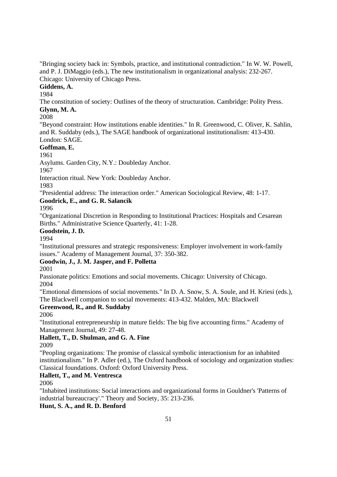"Bringing society back in: Symbols, practice, and institutional contradiction." In W. W. Powell, and P. J. DiMaggio (eds.), The new institutionalism in organizational analysis: 232-267. Chicago: University of Chicago Press.

#### **Giddens, A.**

1984

The constitution of society: Outlines of the theory of structuration. Cambridge: Polity Press. **Glynn, M. A.** 

#### 2008

"Beyond constraint: How institutions enable identities." In R. Greenwood, C. Oliver, K. Sahlin, and R. Suddaby (eds.), The SAGE handbook of organizational institutionalism: 413-430. London: SAGE.

#### **Goffman, E.**

1961

Asylums. Garden City, N.Y.: Doubleday Anchor.

1967

Interaction ritual. New York: Doubleday Anchor.

1983

"Presidential address: The interaction order." American Sociological Review, 48: 1-17.

#### **Goodrick, E., and G. R. Salancik**

1996

"Organizational Discretion in Responding to Institutional Practices: Hospitals and Cesarean Births." Administrative Science Quarterly, 41: 1-28.

#### **Goodstein, J. D.**

1994

"Institutional pressures and strategic responsiveness: Employer involvement in work-family issues." Academy of Management Journal, 37: 350-382.

#### **Goodwin, J., J. M. Jasper, and F. Polletta**

2001

Passionate politics: Emotions and social movements. Chicago: University of Chicago. 2004

"Emotional dimensions of social movements." In D. A. Snow, S. A. Soule, and H. Kriesi (eds.), The Blackwell companion to social movements: 413-432. Malden, MA: Blackwell

#### **Greenwood, R., and R. Suddaby**

2006

"Institutional entrepreneurship in mature fields: The big five accounting firms." Academy of Management Journal, 49: 27-48.

## **Hallett, T., D. Shulman, and G. A. Fine**

2009

"Peopling organizations: The promise of classical symbolic interactionism for an inhabited institutionalism." In P. Adler (ed.), The Oxford handbook of sociology and organization studies: Classical foundations. Oxford: Oxford University Press.

#### **Hallett, T., and M. Ventresca**

2006

"Inhabited institutions: Social interactions and organizational forms in Gouldner's 'Patterns of industrial bureaucracy'." Theory and Society, 35: 213-236.

**Hunt, S. A., and R. D. Benford**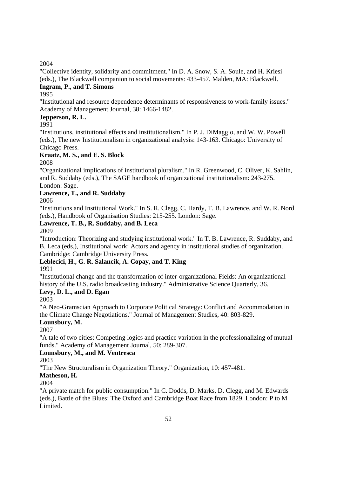2004

"Collective identity, solidarity and commitment." In D. A. Snow, S. A. Soule, and H. Kriesi (eds.), The Blackwell companion to social movements: 433-457. Malden, MA: Blackwell.

# **Ingram, P., and T. Simons**

1995

"Institutional and resource dependence determinants of responsiveness to work-family issues." Academy of Management Journal, 38: 1466-1482.

## **Jepperson, R. L.**

1991

"Institutions, institutional effects and institutionalism." In P. J. DiMaggio, and W. W. Powell (eds.), The new Institutionalism in organizational analysis: 143-163. Chicago: University of Chicago Press.

#### **Kraatz, M. S., and E. S. Block**

2008

"Organizational implications of institutional pluralism." In R. Greenwood, C. Oliver, K. Sahlin, and R. Suddaby (eds.), The SAGE handbook of organizational institutionalism: 243-275. London: Sage.

#### **Lawrence, T., and R. Suddaby**

2006

"Institutions and Institutional Work." In S. R. Clegg, C. Hardy, T. B. Lawrence, and W. R. Nord (eds.), Handbook of Organisation Studies: 215-255. London: Sage.

## **Lawrence, T. B., R. Suddaby, and B. Leca**

2009

"Introduction: Theorizing and studying institutional work." In T. B. Lawrence, R. Suddaby, and B. Leca (eds.), Institutional work: Actors and agency in institutional studies of organization. Cambridge: Cambridge University Press.

## **Leblecici, H., G. R. Salancik, A. Copay, and T. King**

1991

"Institutional change and the transformation of inter-organizational Fields: An organizational history of the U.S. radio broadcasting industry." Administrative Science Quarterly, 36.

#### **Levy, D. L., and D. Egan**

2003

"A Neo-Gramscian Approach to Corporate Political Strategy: Conflict and Accommodation in the Climate Change Negotiations." Journal of Management Studies, 40: 803-829.

#### **Lounsbury, M.**

2007

"A tale of two cities: Competing logics and practice variation in the professionalizing of mutual funds." Academy of Management Journal, 50: 289-307.

## **Lounsbury, M., and M. Ventresca**

2003

"The New Structuralism in Organization Theory." Organization, 10: 457-481.

#### **Matheson, H.**

2004

"A private match for public consumption." In C. Dodds, D. Marks, D. Clegg, and M. Edwards (eds.), Battle of the Blues: The Oxford and Cambridge Boat Race from 1829. London: P to M Limited.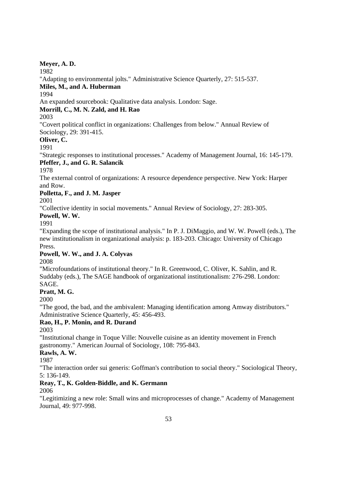#### **Meyer, A. D.**

1982

"Adapting to environmental jolts." Administrative Science Quarterly, 27: 515-537.

**Miles, M., and A. Huberman**

1994

An expanded sourcebook: Qualitative data analysis. London: Sage.

## **Morrill, C., M. N. Zald, and H. Rao**

## 2003

"Covert political conflict in organizations: Challenges from below." Annual Review of Sociology, 29: 391-415.

**Oliver, C.** 

1991

"Strategic responses to institutional processes." Academy of Management Journal, 16: 145-179. **Pfeffer, J., and G. R. Salancik**

1978

The external control of organizations: A resource dependence perspective. New York: Harper and Row.

## **Polletta, F., and J. M. Jasper**

2001

"Collective identity in social movements." Annual Review of Sociology, 27: 283-305.

**Powell, W. W.** 

1991

"Expanding the scope of institutional analysis." In P. J. DiMaggio, and W. W. Powell (eds.), The new institutionalism in organizational analysis: p. 183-203. Chicago: University of Chicago Press.

## **Powell, W. W., and J. A. Colyvas**

2008

"Microfoundations of institutional theory." In R. Greenwood, C. Oliver, K. Sahlin, and R. Suddaby (eds.), The SAGE handbook of organizational institutionalism: 276-298. London: SAGE.

## **Pratt, M. G.**

2000

"The good, the bad, and the ambivalent: Managing identification among Amway distributors." Administrative Science Quarterly, 45: 456-493.

## **Rao, H., P. Monin, and R. Durand**

2003

"Institutional change in Toque Ville: Nouvelle cuisine as an identity movement in French gastronomy." American Journal of Sociology, 108: 795-843.

## **Rawls, A. W.**

1987

"The interaction order sui generis: Goffman's contribution to social theory." Sociological Theory, 5: 136-149.

#### **Reay, T., K. Golden-Biddle, and K. Germann**  2006

"Legitimizing a new role: Small wins and microprocesses of change." Academy of Management Journal, 49: 977-998.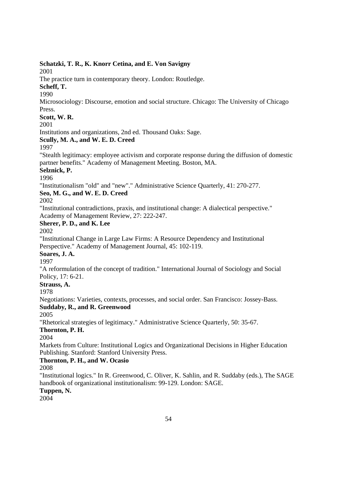#### **Schatzki, T. R., K. Knorr Cetina, and E. Von Savigny**

2001

The practice turn in contemporary theory. London: Routledge.

**Scheff, T.**

1990

Microsociology: Discourse, emotion and social structure. Chicago: The University of Chicago Press.

#### **Scott, W. R.**

2001

Institutions and organizations, 2nd ed. Thousand Oaks: Sage.

#### **Scully, M. A., and W. E. D. Creed**

1997

"Stealth legitimacy: employee activism and corporate response during the diffusion of domestic partner benefits." Academy of Management Meeting. Boston, MA.

## **Selznick, P.**

1996

"Institutionalism "old" and "new"." Administrative Science Quarterly, 41: 270-277.

#### **Seo, M. G., and W. E. D. Creed**

2002

"Institutional contradictions, praxis, and institutional change: A dialectical perspective." Academy of Management Review, 27: 222-247.

#### **Sherer, P. D., and K. Lee**

2002

"Institutional Change in Large Law Firms: A Resource Dependency and Institutional Perspective." Academy of Management Journal, 45: 102-119.

#### **Soares, J. A.**

1997

"A reformulation of the concept of tradition." International Journal of Sociology and Social Policy, 17: 6-21.

**Strauss, A.**

1978

Negotiations: Varieties, contexts, processes, and social order. San Francisco: Jossey-Bass. **Suddaby, R., and R. Greenwood** 

2005

"Rhetorical strategies of legitimacy." Administrative Science Quarterly, 50: 35-67.

#### **Thornton, P. H.**

2004

Markets from Culture: Institutional Logics and Organizational Decisions in Higher Education Publishing. Stanford: Stanford University Press.

#### **Thornton, P. H., and W. Ocasio**

2008

"Institutional logics." In R. Greenwood, C. Oliver, K. Sahlin, and R. Suddaby (eds.), The SAGE handbook of organizational institutionalism: 99-129. London: SAGE.

#### **Tuppen, N.**

2004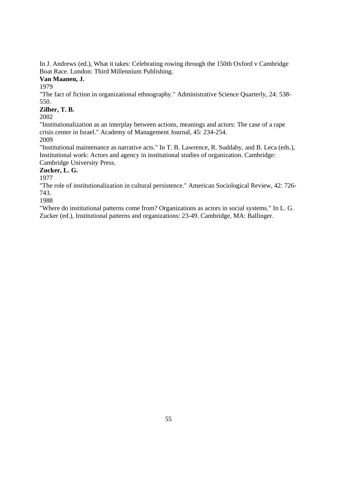In J. Andrews (ed.), What it takes: Celebrating rowing through the 150th Oxford v Cambridge Boat Race. London: Third Millennium Publishing.

## **Van Maanen, J.**

1979

"The fact of fiction in organizational ethnography." Administrative Science Quarterly, 24: 538- 550.

## **Zilber, T. B.**

2002

"Institutionalization as an interplay between actions, meanings and actors: The case of a rape crisis center in Israel." Academy of Management Journal, 45: 234-254.

2009

"Institutional maintenance as narrative acts." In T. B. Lawrence, R. Suddaby, and B. Leca (eds.), Institutional work: Actors and agency in institutional studies of organization. Cambridge: Cambridge University Press.

#### **Zucker, L. G.**

1977

"The role of institutionalization in cultural persistence." American Sociological Review, 42: 726- 743.

1988

"Where do institutional patterns come from? Organizations as actors in social systems." In L. G. Zucker (ed.), Institutional patterns and organizations: 23-49. Cambridge, MA: Ballinger.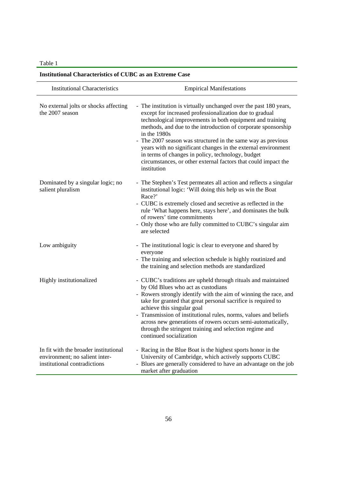Table 1

| Histitutibilai Characteristics or CODC as an Extreme                                                    |                                                                                                                                                                                                                                                                                                                                                                                                                                                                                                                                                   |
|---------------------------------------------------------------------------------------------------------|---------------------------------------------------------------------------------------------------------------------------------------------------------------------------------------------------------------------------------------------------------------------------------------------------------------------------------------------------------------------------------------------------------------------------------------------------------------------------------------------------------------------------------------------------|
| <b>Institutional Characteristics</b>                                                                    | <b>Empirical Manifestations</b>                                                                                                                                                                                                                                                                                                                                                                                                                                                                                                                   |
| No external jolts or shocks affecting<br>the 2007 season                                                | - The institution is virtually unchanged over the past 180 years,<br>except for increased professionalization due to gradual<br>technological improvements in both equipment and training<br>methods, and due to the introduction of corporate sponsorship<br>in the 1980s<br>- The 2007 season was structured in the same way as previous<br>years with no significant changes in the external environment<br>in terms of changes in policy, technology, budget<br>circumstances, or other external factors that could impact the<br>institution |
| Dominated by a singular logic; no<br>salient pluralism                                                  | - The Stephen's Test permeates all action and reflects a singular<br>institutional logic: 'Will doing this help us win the Boat<br>Race?'<br>- CUBC is extremely closed and secretive as reflected in the<br>rule 'What happens here, stays here', and dominates the bulk<br>of rowers' time commitments<br>- Only those who are fully committed to CUBC's singular aim<br>are selected                                                                                                                                                           |
| Low ambiguity                                                                                           | - The institutional logic is clear to everyone and shared by<br>everyone<br>- The training and selection schedule is highly routinized and<br>the training and selection methods are standardized                                                                                                                                                                                                                                                                                                                                                 |
| Highly institutionalized                                                                                | - CUBC's traditions are upheld through rituals and maintained<br>by Old Blues who act as custodians<br>- Rowers strongly identify with the aim of winning the race, and<br>take for granted that great personal sacrifice is required to<br>achieve this singular goal<br>- Transmission of institutional rules, norms, values and beliefs<br>across new generations of rowers occurs semi-automatically,<br>through the stringent training and selection regime and<br>continued socialization                                                   |
| In fit with the broader institutional<br>environment; no salient inter-<br>institutional contradictions | - Racing in the Blue Boat is the highest sports honor in the<br>University of Cambridge, which actively supports CUBC<br>- Blues are generally considered to have an advantage on the job<br>market after graduation                                                                                                                                                                                                                                                                                                                              |

#### **Institutional Characteristics of CUBC as an Extreme Case**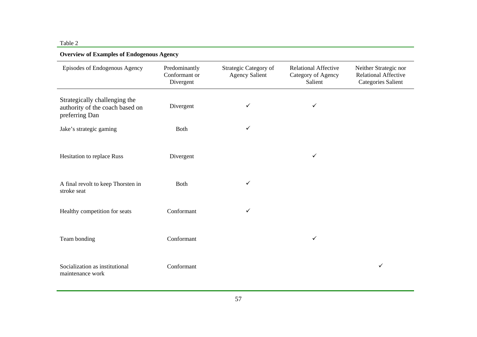#### Table 2

maintenance work

# **Overview of Examples of Endogenous Agency**  Episodes of Endogenous Agency Predominantly Conformant or Divergent Strategic Category of Agency Salient Relational Affective Category of Agency Salient Neither Strategic nor Relational Affective Categories Salient Strategically challenging the authority of the coach based on preferring Dan Divergent  $\checkmark$ Jake's strategic gaming  $\sim$  Both Hesitation to replace Russ Divergent A final revolt to keep Thorsten in stroke seat Both Healthy competition for seats  $\sim$  Conformant  $\sim$ Team bonding Conformant Conformant Socialization as institutional Conformant